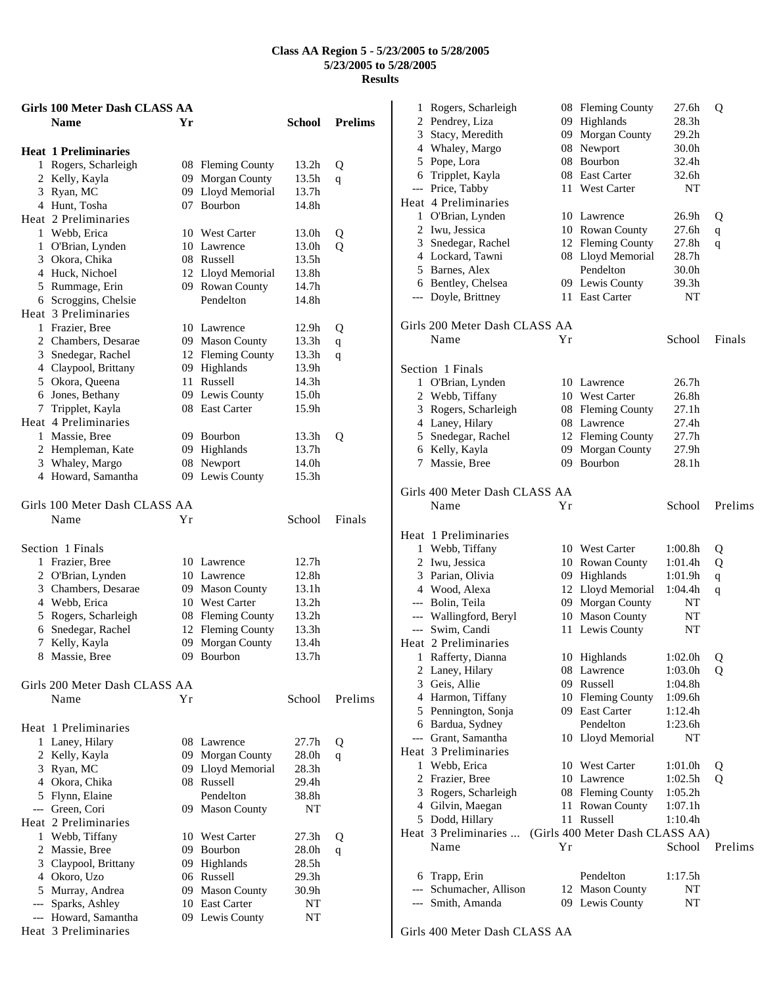|   | <b>Girls 100 Meter Dash CLASS AA</b> |    |                     |                   |                |
|---|--------------------------------------|----|---------------------|-------------------|----------------|
|   | <b>Name</b>                          | Yr |                     | School            | <b>Prelims</b> |
|   | <b>Heat 1 Preliminaries</b>          |    |                     |                   |                |
|   | 1 Rogers, Scharleigh                 |    | 08 Fleming County   | 13.2h             | Q              |
|   | 2 Kelly, Kayla                       |    | 09 Morgan County    | 13.5h             | q              |
|   | 3 Ryan, MC                           |    | 09 Lloyd Memorial   | 13.7h             |                |
|   | 4 Hunt, Tosha                        |    | 07 Bourbon          | 14.8h             |                |
|   | Heat 2 Preliminaries                 |    |                     |                   |                |
|   | 1 Webb, Erica                        |    | 10 West Carter      | 13.0h             | Q              |
|   | 1 O'Brian, Lynden                    |    | 10 Lawrence         | 13.0h             | Q              |
|   | 3 Okora, Chika                       |    | 08 Russell          | 13.5h             |                |
|   | 4 Huck, Nichoel                      |    | 12 Lloyd Memorial   | 13.8h             |                |
|   | 5 Rummage, Erin                      |    | 09 Rowan County     | 14.7h             |                |
|   | 6 Scroggins, Chelsie                 |    | Pendelton           | 14.8h             |                |
|   | Heat 3 Preliminaries                 |    |                     |                   |                |
|   | 1 Frazier, Bree                      |    | 10 Lawrence         | 12.9h             | Q              |
|   | 2 Chambers, Desarae                  |    | 09 Mason County     | 13.3h             | $\mathbf q$    |
|   | 3 Snedegar, Rachel                   |    | 12 Fleming County   | 13.3h             | q              |
|   | 4 Claypool, Brittany                 | 09 | Highlands           | 13.9h             |                |
|   | 5 Okora, Queena                      | 11 | Russell             | 14.3h             |                |
|   | 6 Jones, Bethany                     |    | 09 Lewis County     | 15.0h             |                |
|   | 7 Tripplet, Kayla                    |    | 08 East Carter      | 15.9h             |                |
|   | Heat 4 Preliminaries                 |    |                     |                   |                |
|   | 1 Massie, Bree                       |    | 09 Bourbon          | 13.3h             | Q              |
|   | 2 Hempleman, Kate                    |    | 09 Highlands        | 13.7 <sub>h</sub> |                |
|   | 3 Whaley, Margo                      |    | 08 Newport          | 14.0h             |                |
|   | 4 Howard, Samantha                   |    | 09 Lewis County     | 15.3h             |                |
|   | Girls 100 Meter Dash CLASS AA        |    |                     |                   |                |
|   | Name                                 | Υr |                     | School            | Finals         |
|   |                                      |    |                     |                   |                |
|   | Section 1 Finals                     |    |                     |                   |                |
|   | 1 Frazier, Bree                      |    | 10 Lawrence         | 12.7h             |                |
|   | 2 O'Brian, Lynden                    |    | 10 Lawrence         | 12.8h             |                |
|   | 3 Chambers, Desarae                  |    | 09 Mason County     | 13.1h             |                |
|   | 4 Webb, Erica                        |    | 10 West Carter      | 13.2h             |                |
|   | 5 Rogers, Scharleigh                 |    | 08 Fleming County   | 13.2 <sub>h</sub> |                |
|   | 6 Snedegar, Rachel                   |    | 12 Fleming County   | 13.3h             |                |
|   | 7 Kelly, Kayla                       | 09 | Morgan County       | 13.4h             |                |
| 8 | Massie, Bree                         | 09 | Bourbon             | 13.7h             |                |
|   | Girls 200 Meter Dash CLASS AA        |    |                     |                   |                |
|   | Name                                 | Υr |                     | School            | Prelims        |
|   |                                      |    |                     |                   |                |
|   | Heat 1 Preliminaries                 |    |                     |                   |                |
|   | 1 Laney, Hilary                      |    | 08 Lawrence         | 27.7h             | Q              |
|   | 2 Kelly, Kayla                       |    | 09 Morgan County    | 28.0h             | q              |
|   | 3 Ryan, MC                           |    | 09 Lloyd Memorial   | 28.3h             |                |
|   | 4 Okora, Chika                       |    | 08 Russell          | 29.4h             |                |
|   | 5 Flynn, Elaine                      |    | Pendelton           | 38.8h             |                |
|   | --- Green, Cori                      |    | 09 Mason County     | NT                |                |
|   | Heat 2 Preliminaries                 |    |                     |                   |                |
|   | 1 Webb, Tiffany                      |    | 10 West Carter      | 27.3h             | Q              |
|   | 2 Massie, Bree                       |    | 09 Bourbon          | 28.0h             | q              |
|   | 3 Claypool, Brittany                 |    | 09 Highlands        | 28.5h             |                |
|   | 4 Okoro, Uzo                         |    | 06 Russell          | 29.3h             |                |
|   | 5 Murray, Andrea                     | 09 | <b>Mason County</b> | 30.9h             |                |
|   | --- Sparks, Ashley                   |    | 10 East Carter      | NT                |                |
|   | --- Howard, Samantha                 |    | 09 Lewis County     | NT                |                |

 Rogers, Scharleigh 08 Fleming County 27.6h Q Pendrey, Liza 09 Highlands 28.3h Stacy, Meredith 09 Morgan County 29.2h Whaley, Margo 08 Newport 30.0h Pope, Lora 08 Bourbon 32.4h Tripplet, Kayla 08 East Carter 32.6h --- Price, Tabby 11 West Carter NT Heat 4 Preliminaries O'Brian, Lynden 10 Lawrence 26.9h Q Iwu, Jessica 10 Rowan County 27.6h q Snedegar, Rachel 12 Fleming County 27.8h q Lockard, Tawni 08 Lloyd Memorial 28.7h Barnes, Alex Pendelton 30.0h Bentley, Chelsea 09 Lewis County 39.3h --- Doyle, Brittney 11 East Carter NT Girls 200 Meter Dash CLASS AA Name  $Yr$  School Finals Section 1 Finals O'Brian, Lynden 10 Lawrence 26.7h Webb, Tiffany 10 West Carter 26.8h Rogers, Scharleigh 08 Fleming County 27.1h Laney, Hilary 08 Lawrence 27.4h Snedegar, Rachel 12 Fleming County 27.7h Kelly, Kayla 09 Morgan County 27.9h Massie, Bree 09 Bourbon 28.1h Girls 400 Meter Dash CLASS AA Name Yr School Prelims Heat 1 Preliminaries Webb, Tiffany 10 West Carter 1:00.8h Q Iwu, Jessica 10 Rowan County 1:01.4h Q Parian, Olivia 09 Highlands 1:01.9h q Wood, Alexa 12 Lloyd Memorial 1:04.4h q --- Bolin, Teila 09 Morgan County NT --- Wallingford, Beryl 10 Mason County NT --- Swim, Candi 11 Lewis County NT Heat 2 Preliminaries Rafferty, Dianna 10 Highlands 1:02.0h Q Laney, Hilary 08 Lawrence 1:03.0h Q Geis, Allie 09 Russell 1:04.8h 4 Harmon, Tiffany 10 Fleming County 1:09.6h Pennington, Sonja 09 East Carter 1:12.4h Bardua, Sydney Pendelton 1:23.6h --- Grant, Samantha 10 Lloyd Memorial NT Heat 3 Preliminaries Webb, Erica 10 West Carter 1:01.0h Q 2 Frazier, Bree 10 Lawrence 1:02.5h Q Rogers, Scharleigh 08 Fleming County 1:05.2h 4 Gilvin, Maegan 11 Rowan County 1:07.1h Dodd, Hillary 11 Russell 1:10.4h Heat 3 Preliminaries ... (Girls 400 Meter Dash CLASS AA) Name Yr School Prelims Trapp, Erin Pendelton 1:17.5h --- Schumacher, Allison 12 Mason County NT --- Smith, Amanda 09 Lewis County NT

Girls 400 Meter Dash CLASS AA

Heat 3 Preliminaries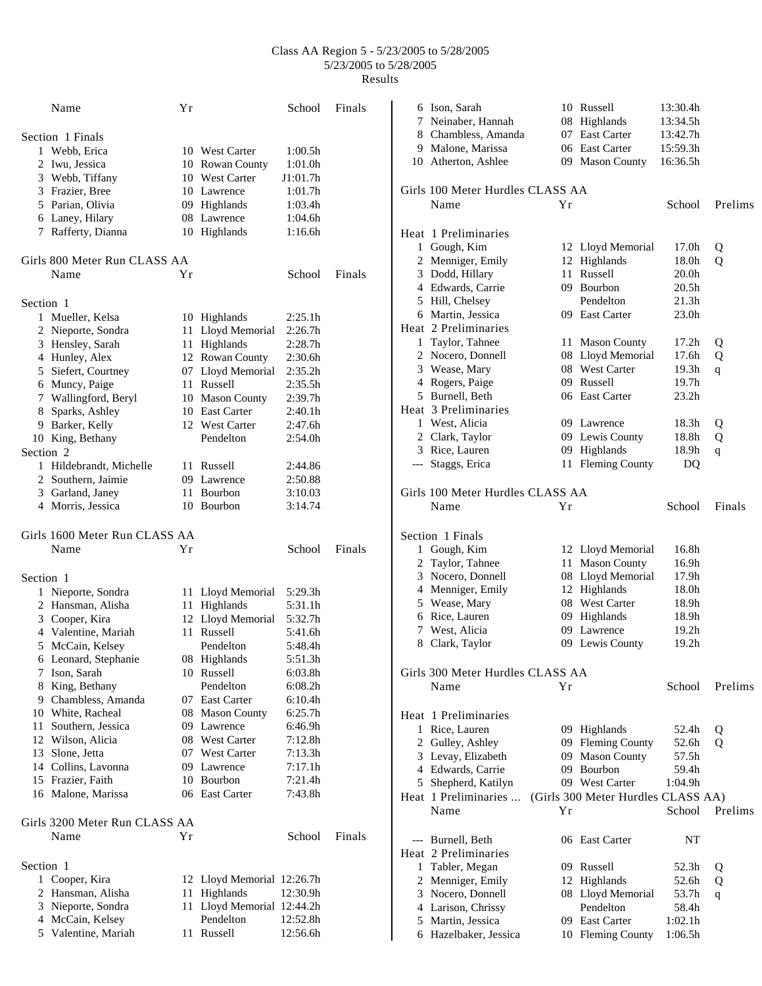|           | Name                          | Υr |                            | School              | Finals |
|-----------|-------------------------------|----|----------------------------|---------------------|--------|
|           | Section 1 Finals              |    |                            |                     |        |
|           | 1 Webb, Erica                 |    | 10 West Carter             | 1:00.5h             |        |
|           | 2 Iwu, Jessica                |    | 10 Rowan County            | 1:01.0h             |        |
|           | 3 Webb, Tiffany               |    | 10 West Carter             | J1:01.7h            |        |
|           | 3 Frazier, Bree               |    | 10 Lawrence                | 1:01.7h             |        |
|           | 5 Parian, Olivia              |    | 09 Highlands               | 1:03.4h             |        |
|           | 6 Laney, Hilary               |    | 08 Lawrence                | 1:04.6h             |        |
|           | 7 Rafferty, Dianna            |    | 10 Highlands               | 1:16.6h             |        |
|           | Girls 800 Meter Run CLASS AA  |    |                            |                     |        |
|           | Name                          | Υr |                            | School              | Finals |
| Section 1 |                               |    |                            |                     |        |
|           | 1 Mueller, Kelsa              |    | 10 Highlands               | 2:25.1h             |        |
|           | 2 Nieporte, Sondra            |    | 11 Lloyd Memorial          | 2:26.7h             |        |
|           | 3 Hensley, Sarah              |    | 11 Highlands               | 2:28.7h             |        |
|           | 4 Hunley, Alex                |    | 12 Rowan County            | 2:30.6h             |        |
|           | 5 Siefert, Courtney           |    | 07 Lloyd Memorial          | 2:35.2h             |        |
|           | 6 Muncy, Paige                |    | 11 Russell                 | 2:35.5h             |        |
|           |                               |    |                            |                     |        |
|           | 7 Wallingford, Beryl          |    | 10 Mason County            | 2:39.7h             |        |
|           | 8 Sparks, Ashley              |    | 10 East Carter             | 2:40.1h             |        |
|           | 9 Barker, Kelly               |    | 12 West Carter             | 2:47.6h             |        |
|           | 10 King, Bethany              |    | Pendelton                  | 2:54.0 <sub>h</sub> |        |
| Section 2 |                               |    |                            |                     |        |
|           | 1 Hildebrandt, Michelle       |    | 11 Russell                 | 2:44.86             |        |
|           | 2 Southern, Jaimie            |    | 09 Lawrence                | 2:50.88             |        |
|           | 3 Garland, Janey              |    | 11 Bourbon                 | 3:10.03             |        |
|           | 4 Morris, Jessica             |    | 10 Bourbon                 | 3:14.74             |        |
|           | Girls 1600 Meter Run CLASS AA |    |                            |                     |        |
|           | Name                          | Υr |                            | School              | Finals |
| Section 1 |                               |    |                            |                     |        |
|           | 1 Nieporte, Sondra            |    | 11 Lloyd Memorial          | 5:29.3h             |        |
|           |                               |    |                            |                     |        |
|           | 2 Hansman, Alisha             |    | 11 Highlands               | 5:31.1h             |        |
|           | 3 Cooper, Kira                |    | 12 Lloyd Memorial          | 5:32.7h             |        |
|           | 4 Valentine, Mariah           |    | 11 Russell                 | 5:41.6h             |        |
|           |                               |    | Pendelton                  | 5:48.4h             |        |
|           | 5 McCain, Kelsey              |    |                            |                     |        |
|           | 6 Leonard, Stephanie          |    | 08 Highlands<br>10 Russell | 5:51.3h             |        |
|           | 7 Ison, Sarah                 |    | Pendelton                  | 6:03.8h             |        |
|           | 8 King, Bethany               |    |                            | 6:08.2h             |        |
|           | 9 Chambless, Amanda           |    | 07 East Carter             | 6:10.4h             |        |
|           | 10 White, Racheal             |    | 08 Mason County            | 6:25.7h             |        |
|           | 11 Southern, Jessica          |    | 09 Lawrence                | 6:46.9h             |        |
|           | 12 Wilson, Alicia             |    | 08 West Carter             | 7:12.8h             |        |
|           | 13 Slone, Jetta               |    | 07 West Carter             | 7:13.3h             |        |
|           | 14 Collins, Lavonna           |    | 09 Lawrence                | 7:17.1h             |        |
|           | 15 Frazier, Faith             |    | 10 Bourbon                 | 7:21.4h             |        |
|           | 16 Malone, Marissa            |    | 06 East Carter             | 7:43.8h             |        |
|           | Girls 3200 Meter Run CLASS AA |    |                            |                     |        |
|           | Name                          | Υr |                            | School              | Finals |
| Section 1 |                               |    |                            |                     |        |
|           | 1 Cooper, Kira                |    | 12 Lloyd Memorial 12:26.7h |                     |        |
|           | 2 Hansman, Alisha             | 11 | Highlands                  | 12:30.9h            |        |
|           | 3 Nieporte, Sondra            |    | 11 Lloyd Memorial 12:44.2h |                     |        |
|           | 4 McCain, Kelsey              |    | Pendelton                  | 12:52.8h            |        |

|              | 6 Ison, Sarah                             |    | 10 Russell                         | 13:30.4h          |         |
|--------------|-------------------------------------------|----|------------------------------------|-------------------|---------|
|              | 7 Neinaber, Hannah                        |    | 08 Highlands                       | 13:34.5h          |         |
|              | 8 Chambless, Amanda                       |    | 07 East Carter                     | 13:42.7h          |         |
|              | 9 Malone, Marissa                         |    | 06 East Carter                     | 15:59.3h          |         |
|              | 10 Atherton, Ashlee                       |    | 09 Mason County                    | 16:36.5h          |         |
|              | Girls 100 Meter Hurdles CLASS AA          |    |                                    |                   |         |
|              | Name                                      | Υr |                                    | School            | Prelims |
|              |                                           |    |                                    |                   |         |
|              | Heat 1 Preliminaries                      |    |                                    |                   |         |
|              | 1 Gough, Kim                              |    | 12 Lloyd Memorial                  | 17.0h             | Q       |
|              | 2 Menniger, Emily                         |    | 12 Highlands                       | 18.0h             | Q       |
|              | 3 Dodd, Hillary                           |    | 11 Russell                         | 20.0h             |         |
|              | 4 Edwards, Carrie                         |    | 09 Bourbon                         | 20.5h             |         |
|              | 5 Hill, Chelsey                           |    | Pendelton                          | 21.3 <sub>h</sub> |         |
|              | 6 Martin, Jessica                         |    | 09 East Carter                     | 23.0 <sub>h</sub> |         |
|              | Heat 2 Preliminaries                      |    |                                    |                   |         |
|              | 1 Taylor, Tahnee                          |    | 11 Mason County                    | 17.2 <sub>h</sub> | Q       |
|              | 2 Nocero, Donnell                         |    | 08 Lloyd Memorial                  | 17.6h             | Q       |
|              | 3 Wease, Mary                             |    | 08 West Carter                     | 19.3h             | q       |
|              | 4 Rogers, Paige                           |    | 09 Russell                         | 19.7h             |         |
|              | 5 Burnell, Beth                           |    | 06 East Carter                     | 23.2 <sub>h</sub> |         |
|              | Heat 3 Preliminaries                      |    |                                    |                   |         |
|              | 1 West, Alicia                            |    | 09 Lawrence                        | 18.3h             | Q       |
|              | 2 Clark, Taylor                           |    | 09 Lewis County                    | 18.8h             | Q       |
|              | 3 Rice, Lauren                            |    | 09 Highlands                       | 18.9h             | q       |
|              | --- Staggs, Erica                         |    | 11 Fleming County                  | DQ                |         |
|              | Girls 100 Meter Hurdles CLASS AA          |    |                                    |                   |         |
|              | Name                                      | Υr |                                    | School            | Finals  |
|              |                                           |    |                                    |                   |         |
|              | Section 1 Finals                          |    |                                    |                   |         |
| $\mathbf{1}$ | Gough, Kim                                |    | 12 Lloyd Memorial                  | 16.8h             |         |
|              | 2 Taylor, Tahnee                          |    | 11 Mason County                    | 16.9h             |         |
|              | 3 Nocero, Donnell                         |    | 08 Lloyd Memorial                  | 17.9h             |         |
|              | 4 Menniger, Emily                         |    | 12 Highlands                       | 18.0h             |         |
|              | 5 Wease, Mary                             |    | 08 West Carter                     | 18.9h             |         |
|              | 6 Rice, Lauren                            |    | 09 Highlands                       | 18.9h             |         |
|              | 7 West, Alicia                            |    | 09 Lawrence                        | 19.2 <sub>h</sub> |         |
|              | 8 Clark, Taylor                           |    | 09 Lewis County                    | 19.2h             |         |
|              |                                           |    |                                    |                   |         |
|              | Girls 300 Meter Hurdles CLASS AA          |    |                                    |                   |         |
|              | Name                                      | Υr |                                    | School            | Prelims |
|              | Heat 1 Preliminaries                      |    |                                    |                   |         |
|              |                                           |    |                                    |                   |         |
|              |                                           |    |                                    |                   |         |
|              | 1 Rice, Lauren                            |    | 09 Highlands                       | 52.4h             | Q       |
|              | 2 Gulley, Ashley                          |    | 09 Fleming County                  | 52.6h             | О       |
|              | 3 Levay, Elizabeth                        |    | 09 Mason County                    | 57.5h             |         |
|              | 4 Edwards, Carrie                         |    | 09 Bourbon                         | 59.4h             |         |
|              | 5 Shepherd, Katilyn                       |    | 09 West Carter                     | 1:04.9h           |         |
|              | Heat 1 Preliminaries<br>Name              | Υr | (Girls 300 Meter Hurdles CLASS AA) | School            | Prelims |
|              |                                           |    |                                    |                   |         |
|              |                                           |    | 06 East Carter                     | NΤ                |         |
|              | --- Burnell, Beth<br>Heat 2 Preliminaries |    |                                    |                   |         |
|              |                                           |    | 09 Russell                         | 52.3h             |         |
|              | 1 Tabler, Megan<br>2 Menniger, Emily      |    | 12 Highlands                       | 52.6h             | Q<br>Q  |
|              | 3 Nocero, Donnell                         |    | 08 Lloyd Memorial                  | 53.7h             | q       |
|              | 4 Larison, Chrissy                        |    | Pendelton                          | 58.4h             |         |
|              | 5 Martin, Jessica                         |    | 09 East Carter                     | 1:02.1h           |         |
|              | 6 Hazelbaker, Jessica                     |    | 10 Fleming County                  | 1:06.5h           |         |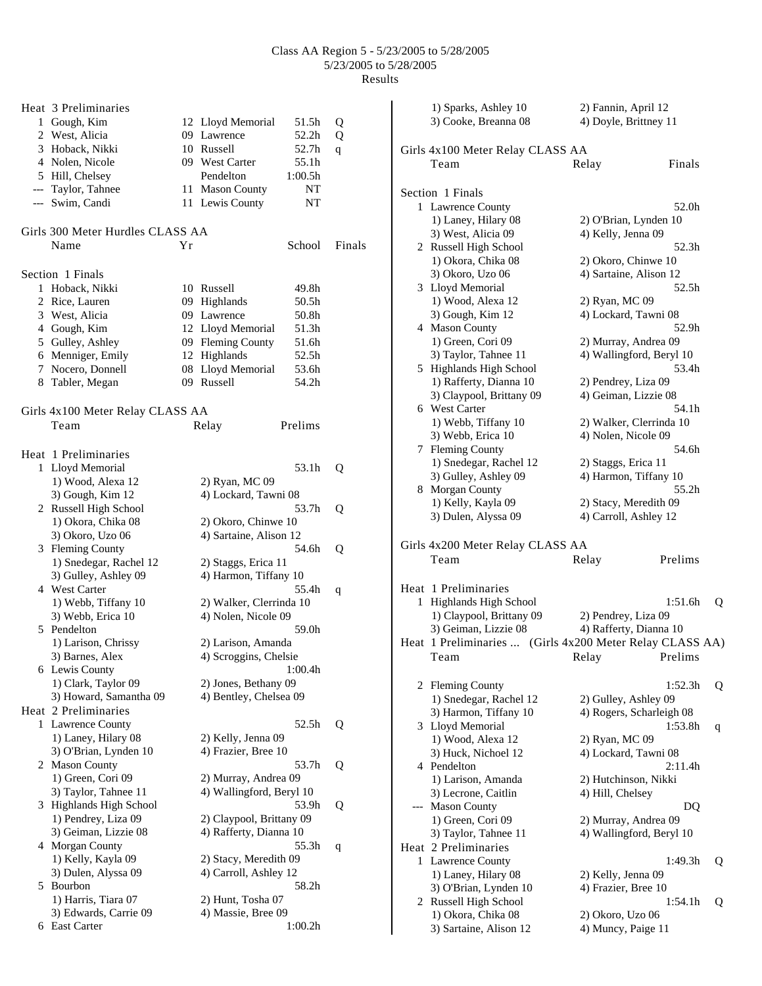| Heat 3 Preliminaries             |    |                          |         |        |
|----------------------------------|----|--------------------------|---------|--------|
| 1 Gough, Kim                     |    | 12 Lloyd Memorial        | 51.5h   | Q      |
| 2 West, Alicia                   |    | 09 Lawrence              | 52.2h   | Q      |
| 3 Hoback, Nikki                  |    | 10 Russell               | 52.7h   | q      |
| 4 Nolen, Nicole                  |    | 09 West Carter           | 55.1h   |        |
| 5 Hill, Chelsey                  |    | Pendelton                | 1:00.5h |        |
| --- Taylor, Tahnee               |    | 11 Mason County          | NΤ      |        |
| --- Swim, Candi                  |    | 11 Lewis County          | NT      |        |
|                                  |    |                          |         |        |
| Girls 300 Meter Hurdles CLASS AA |    |                          |         |        |
| Name                             | Υr |                          | School  | Finals |
| Section 1 Finals                 |    |                          |         |        |
| 1 Hoback, Nikki                  |    | 10 Russell               | 49.8h   |        |
| 2 Rice, Lauren                   |    | 09 Highlands             | 50.5h   |        |
| 3 West, Alicia                   |    | 09 Lawrence              | 50.8h   |        |
| 4 Gough, Kim                     |    | 12 Lloyd Memorial        | 51.3h   |        |
| 5 Gulley, Ashley                 |    | 09 Fleming County        | 51.6h   |        |
| 6 Menniger, Emily                |    | 12 Highlands             | 52.5h   |        |
| 7 Nocero, Donnell                |    | 08 Lloyd Memorial        | 53.6h   |        |
| 8 Tabler, Megan                  |    | 09 Russell               | 54.2h   |        |
|                                  |    |                          |         |        |
| Girls 4x100 Meter Relay CLASS AA |    |                          |         |        |
| Team                             |    | Relay                    | Prelims |        |
|                                  |    |                          |         |        |
| Heat 1 Preliminaries             |    |                          |         |        |
| 1 Lloyd Memorial                 |    |                          | 53.1h   | Q      |
| 1) Wood, Alexa 12                |    | 2) Ryan, MC 09           |         |        |
| 3) Gough, Kim 12                 |    | 4) Lockard, Tawni 08     |         |        |
| 2 Russell High School            |    |                          | 53.7h   | Q      |
| 1) Okora, Chika 08               |    | 2) Okoro, Chinwe 10      |         |        |
| 3) Okoro, Uzo 06                 |    | 4) Sartaine, Alison 12   |         |        |
| 3 Fleming County                 |    |                          | 54.6h   | Q      |
| 1) Snedegar, Rachel 12           |    | 2) Staggs, Erica 11      |         |        |
| 3) Gulley, Ashley 09             |    | 4) Harmon, Tiffany 10    |         |        |
| 4 West Carter                    |    |                          | 55.4h   | q      |
| 1) Webb, Tiffany 10              |    | 2) Walker, Clerrinda 10  |         |        |
| 3) Webb, Erica 10                |    | 4) Nolen, Nicole 09      |         |        |
| 5 Pendelton                      |    |                          | 59.0h   |        |
| 1) Larison, Chrissy              |    | 2) Larison, Amanda       |         |        |
| 3) Barnes, Alex                  |    | 4) Scroggins, Chelsie    |         |        |
| 6 Lewis County                   |    |                          | 1:00.4h |        |
| 1) Clark, Taylor 09              |    | 2) Jones, Bethany 09     |         |        |
| 3) Howard, Samantha 09           |    | 4) Bentley, Chelsea 09   |         |        |
| Heat 2 Preliminaries             |    |                          |         |        |
| 1 Lawrence County                |    |                          | 52.5h   | Q      |
| 1) Laney, Hilary 08              |    | 2) Kelly, Jenna 09       |         |        |
| 3) O'Brian, Lynden 10            |    | 4) Frazier, Bree 10      |         |        |
| 2 Mason County                   |    |                          | 53.7h   | Q      |
| 1) Green, Cori 09                |    | 2) Murray, Andrea 09     |         |        |
| 3) Taylor, Tahnee 11             |    | 4) Wallingford, Beryl 10 |         |        |
| 3 Highlands High School          |    |                          | 53.9h   | Q      |
| 1) Pendrey, Liza 09              |    | 2) Claypool, Brittany 09 |         |        |
| 3) Geiman, Lizzie 08             |    | 4) Rafferty, Dianna 10   |         |        |
| 4 Morgan County                  |    |                          | 55.3h   | q      |
| 1) Kelly, Kayla 09               |    | 2) Stacy, Meredith 09    |         |        |
| 3) Dulen, Alyssa 09              |    | 4) Carroll, Ashley 12    |         |        |
| 5 Bourbon                        |    |                          | 58.2h   |        |
| 1) Harris, Tiara 07              |    | 2) Hunt, Tosha 07        |         |        |
| 3) Edwards, Carrie 09            |    | 4) Massie, Bree 09       |         |        |
| 6 East Carter                    |    |                          | 1:00.2h |        |

|     | 1) Sparks, Ashley 10                                     | 2) Fannin, April 12                              |         |   |
|-----|----------------------------------------------------------|--------------------------------------------------|---------|---|
|     | 3) Cooke, Breanna 08                                     | 4) Doyle, Brittney 11                            |         |   |
|     |                                                          |                                                  |         |   |
|     | Girls 4x100 Meter Relay CLASS AA                         |                                                  |         |   |
|     | Team                                                     | Relay                                            | Finals  |   |
|     |                                                          |                                                  |         |   |
|     | Section 1 Finals                                         |                                                  |         |   |
| 1   | Lawrence County                                          |                                                  | 52.0h   |   |
|     | 1) Laney, Hilary 08                                      | 2) O'Brian, Lynden 10                            |         |   |
|     | 3) West, Alicia 09                                       | 4) Kelly, Jenna 09                               |         |   |
|     | 2 Russell High School                                    |                                                  | 52.3h   |   |
|     | 1) Okora, Chika 08                                       | 2) Okoro, Chinwe 10                              |         |   |
|     | 3) Okoro, Uzo 06                                         | 4) Sartaine, Alison 12                           |         |   |
|     | 3 Lloyd Memorial                                         |                                                  | 52.5h   |   |
|     | 1) Wood, Alexa 12                                        | 2) Ryan, MC 09                                   |         |   |
|     | 3) Gough, Kim 12                                         | 4) Lockard, Tawni 08                             |         |   |
|     | 4 Mason County                                           |                                                  | 52.9h   |   |
|     | 1) Green, Cori 09                                        | 2) Murray, Andrea 09                             |         |   |
|     | 3) Taylor, Tahnee 11                                     | 4) Wallingford, Beryl 10                         |         |   |
|     | 5 Highlands High School                                  |                                                  | 53.4h   |   |
|     | 1) Rafferty, Dianna 10                                   | 2) Pendrey, Liza 09                              |         |   |
|     | 3) Claypool, Brittany 09                                 | 4) Geiman, Lizzie 08                             |         |   |
|     | 6 West Carter                                            |                                                  | 54.1h   |   |
|     | 1) Webb, Tiffany 10                                      | 2) Walker, Clerrinda 10                          |         |   |
|     | 3) Webb, Erica 10                                        | 4) Nolen, Nicole 09                              |         |   |
|     | 7 Fleming County                                         |                                                  | 54.6h   |   |
|     | 1) Snedegar, Rachel 12                                   | 2) Staggs, Erica 11                              |         |   |
|     | 3) Gulley, Ashley 09                                     | 4) Harmon, Tiffany 10                            |         |   |
|     | 8 Morgan County                                          |                                                  | 55.2h   |   |
|     | 1) Kelly, Kayla 09                                       | 2) Stacy, Meredith 09                            |         |   |
|     | 3) Dulen, Alyssa 09                                      | 4) Carroll, Ashley 12                            |         |   |
|     |                                                          |                                                  |         |   |
|     | Girls 4x200 Meter Relay CLASS AA                         |                                                  |         |   |
|     | Team                                                     | Relay                                            | Prelims |   |
|     |                                                          |                                                  |         |   |
|     | Heat 1 Preliminaries                                     |                                                  |         |   |
| 1   | Highlands High School                                    |                                                  | 1:51.6h | Q |
|     | 1) Claypool, Brittany 09                                 | 2) Pendrey, Liza 09                              |         |   |
|     | 3) Geiman, Lizzie 08                                     | 4) Rafferty, Dianna 10                           |         |   |
|     | Heat 1 Preliminaries  (Girls 4x200 Meter Relay CLASS AA) |                                                  |         |   |
|     | Team                                                     | Relay                                            | Prelims |   |
|     |                                                          |                                                  |         |   |
|     | 2 Fleming County                                         |                                                  | 1:52.3h |   |
|     | 1) Snedegar, Rachel 12                                   |                                                  |         | Q |
|     | 3) Harmon, Tiffany 10                                    | 2) Gulley, Ashley 09<br>4) Rogers, Scharleigh 08 |         |   |
|     | 3 Lloyd Memorial                                         |                                                  | 1:53.8h |   |
|     | 1) Wood, Alexa 12                                        | 2) Ryan, MC 09                                   |         | q |
|     | 3) Huck, Nichoel 12                                      | 4) Lockard, Tawni 08                             |         |   |
|     | 4 Pendelton                                              |                                                  | 2:11.4h |   |
|     | 1) Larison, Amanda                                       | 2) Hutchinson, Nikki                             |         |   |
|     | 3) Lecrone, Caitlin                                      | 4) Hill, Chelsey                                 |         |   |
| --- | <b>Mason County</b>                                      |                                                  | DQ      |   |
|     | 1) Green, Cori 09                                        | 2) Murray, Andrea 09                             |         |   |
|     | 3) Taylor, Tahnee 11                                     | 4) Wallingford, Beryl 10                         |         |   |
|     | Heat 2 Preliminaries                                     |                                                  |         |   |
|     | 1 Lawrence County                                        |                                                  | 1:49.3h | Q |
|     | 1) Laney, Hilary 08                                      | 2) Kelly, Jenna 09                               |         |   |
|     | 3) O'Brian, Lynden 10                                    | 4) Frazier, Bree 10                              |         |   |
|     | 2 Russell High School                                    |                                                  | 1:54.1h | Q |
|     | 1) Okora, Chika 08                                       | 2) Okoro, Uzo 06                                 |         |   |
|     | 3) Sartaine, Alison 12                                   | 4) Muncy, Paige 11                               |         |   |
|     |                                                          |                                                  |         |   |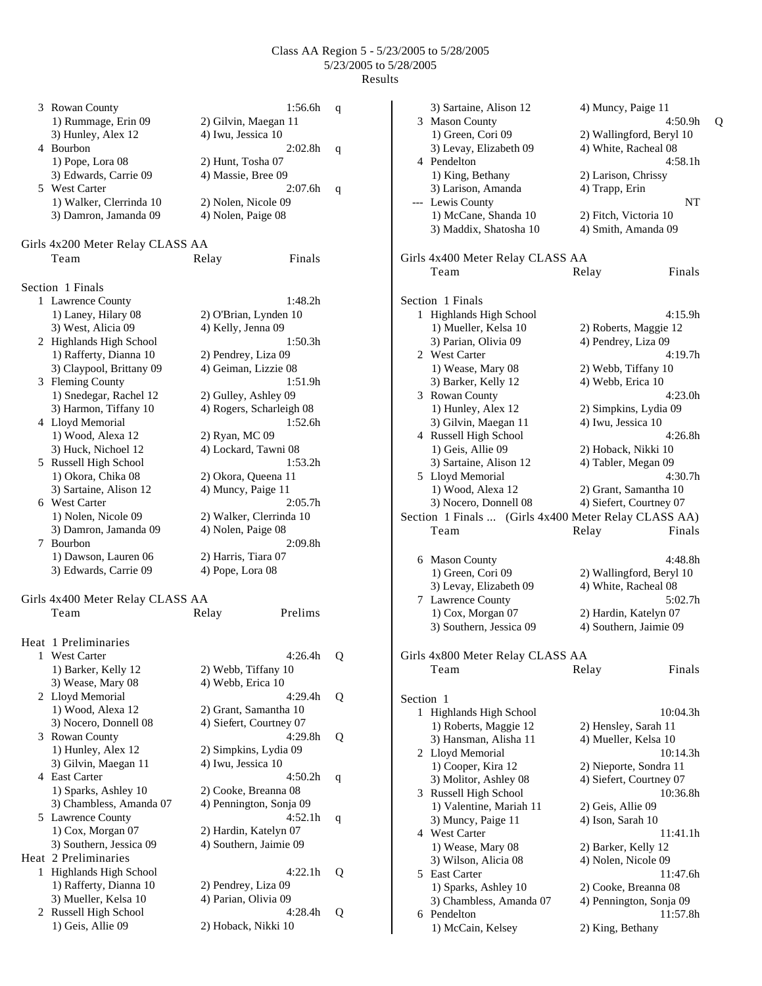|   | 3 Rowan County<br>1) Rummage, Erin 09        | 1:56.6h<br>2) Gilvin, Maegan 11                  | q |
|---|----------------------------------------------|--------------------------------------------------|---|
|   | 3) Hunley, Alex 12<br>4 Bourbon              | 4) Iwu, Jessica 10<br>2:02.8h                    | q |
|   | 1) Pope, Lora 08<br>3) Edwards, Carrie 09    | 2) Hunt, Tosha 07<br>4) Massie, Bree 09          |   |
|   | 5 West Carter                                | 2:07.6 <sub>h</sub>                              | q |
|   | 1) Walker, Clerrinda 10                      | 2) Nolen, Nicole 09                              |   |
|   | 3) Damron, Jamanda 09                        | 4) Nolen, Paige 08                               |   |
|   | Girls 4x200 Meter Relay CLASS AA             |                                                  |   |
|   | Team                                         | Finals<br>Relay                                  |   |
|   | Section 1 Finals                             |                                                  |   |
|   | 1 Lawrence County                            | 1:48.2h                                          |   |
|   | 1) Laney, Hilary 08                          | 2) O'Brian, Lynden 10                            |   |
|   | 3) West, Alicia 09                           | 4) Kelly, Jenna 09                               |   |
|   | 2 Highlands High School                      | 1:50.3h                                          |   |
|   | 1) Rafferty, Dianna 10                       | 2) Pendrey, Liza 09<br>4) Geiman, Lizzie 08      |   |
|   | 3) Claypool, Brittany 09<br>3 Fleming County | 1:51.9h                                          |   |
|   | 1) Snedegar, Rachel 12                       | 2) Gulley, Ashley 09                             |   |
|   | 3) Harmon, Tiffany 10                        | 4) Rogers, Scharleigh 08                         |   |
|   | 4 Lloyd Memorial                             | 1:52.6h                                          |   |
|   | 1) Wood, Alexa 12                            | 2) Ryan, MC 09                                   |   |
|   | 3) Huck, Nichoel 12                          | 4) Lockard, Tawni 08                             |   |
|   | 5 Russell High School                        | 1:53.2h                                          |   |
|   | 1) Okora, Chika 08                           | 2) Okora, Queena 11                              |   |
|   | 3) Sartaine, Alison 12                       | 4) Muncy, Paige 11                               |   |
|   | 6 West Carter                                | 2:05.7h                                          |   |
|   | 1) Nolen, Nicole 09                          | 2) Walker, Clerrinda 10                          |   |
|   | 3) Damron, Jamanda 09                        | 4) Nolen, Paige 08                               |   |
| 7 | Bourbon                                      | 2:09.8h                                          |   |
|   | 1) Dawson, Lauren 06                         | 2) Harris, Tiara 07                              |   |
|   | 3) Edwards, Carrie 09                        | 4) Pope, Lora 08                                 |   |
|   | Girls 4x400 Meter Relay CLASS AA             |                                                  |   |
|   | Team                                         | Prelims<br>Relay                                 |   |
|   | Heat 1 Preliminaries                         |                                                  |   |
|   | 1 West Carter                                | 4:26.4h                                          | Q |
|   | 1) Barker, Kelly 12                          | 2) Webb, Tiffany 10                              |   |
|   | 3) Wease, Mary 08                            | 4) Webb, Erica 10                                |   |
|   | 2 Lloyd Memorial                             | 4:29.4h                                          | Q |
|   | 1) Wood, Alexa 12<br>3) Nocero, Donnell 08   | 2) Grant, Samantha 10<br>4) Siefert, Courtney 07 |   |
| 3 | <b>Rowan County</b>                          | 4:29.8h                                          | Q |
|   | 1) Hunley, Alex 12                           | 2) Simpkins, Lydia 09                            |   |
|   | 3) Gilvin, Maegan 11                         | 4) Iwu, Jessica 10                               |   |
| 4 | <b>East Carter</b>                           | 4:50.2h                                          | q |
|   | 1) Sparks, Ashley 10                         | 2) Cooke, Breanna 08                             |   |
|   | 3) Chambless, Amanda 07                      | 4) Pennington, Sonja 09                          |   |
|   | 5 Lawrence County                            | 4:52.1h                                          | q |
|   | 1) Cox, Morgan 07                            | 2) Hardin, Katelyn 07                            |   |
|   | 3) Southern, Jessica 09                      | 4) Southern, Jaimie 09                           |   |
|   | Heat 2 Preliminaries                         |                                                  |   |
| 1 | Highlands High School                        | 4:22.1h                                          | Q |
|   | 1) Rafferty, Dianna 10                       | 2) Pendrey, Liza 09                              |   |
|   | 3) Mueller, Kelsa 10                         | 4) Parian, Olivia 09                             |   |
| 2 | Russell High School                          | 4:28.4h                                          | Q |
|   | 1) Geis, Allie 09                            | 2) Hoback, Nikki 10                              |   |

|           | 3) Sartaine, Alison 12                               | 4) Muncy, Paige 11       |   |
|-----------|------------------------------------------------------|--------------------------|---|
|           | 3 Mason County                                       | 4:50.9h                  | Q |
|           | 1) Green, Cori 09                                    | 2) Wallingford, Beryl 10 |   |
|           | 3) Levay, Elizabeth 09                               | 4) White, Racheal 08     |   |
|           | 4 Pendelton                                          | 4:58.1h                  |   |
|           | 1) King, Bethany                                     | 2) Larison, Chrissy      |   |
|           | 3) Larison, Amanda                                   | 4) Trapp, Erin           |   |
|           | --- Lewis County                                     | NT                       |   |
|           | 1) McCane, Shanda 10                                 | 2) Fitch, Victoria 10    |   |
|           | 3) Maddix, Shatosha 10                               | 4) Smith, Amanda 09      |   |
|           |                                                      |                          |   |
|           | Girls 4x400 Meter Relay CLASS AA                     |                          |   |
|           | Team                                                 | Relay<br>Finals          |   |
|           |                                                      |                          |   |
|           | Section 1 Finals                                     |                          |   |
|           | 1 Highlands High School                              | 4:15.9h                  |   |
|           | 1) Mueller, Kelsa 10                                 | 2) Roberts, Maggie 12    |   |
|           | 3) Parian, Olivia 09                                 | 4) Pendrey, Liza 09      |   |
|           | 2 West Carter                                        | 4:19.7h                  |   |
|           | 1) Wease, Mary 08                                    | 2) Webb, Tiffany 10      |   |
|           | 3) Barker, Kelly 12                                  | 4) Webb, Erica 10        |   |
|           | 3 Rowan County                                       | 4:23.0h                  |   |
|           | 1) Hunley, Alex 12                                   | 2) Simpkins, Lydia 09    |   |
|           | 3) Gilvin, Maegan 11                                 | 4) Iwu, Jessica 10       |   |
|           | 4 Russell High School                                | 4:26.8h                  |   |
|           | 1) Geis, Allie 09                                    | 2) Hoback, Nikki 10      |   |
|           | 3) Sartaine, Alison 12                               | 4) Tabler, Megan 09      |   |
|           | 5 Lloyd Memorial                                     | 4:30.7h                  |   |
|           | 1) Wood, Alexa 12                                    | 2) Grant, Samantha 10    |   |
|           | 3) Nocero, Donnell 08                                | 4) Siefert, Courtney 07  |   |
|           | Section 1 Finals  (Girls 4x400 Meter Relay CLASS AA) |                          |   |
|           | Team                                                 | Relay<br>Finals          |   |
|           |                                                      |                          |   |
|           | 6 Mason County                                       | 4:48.8h                  |   |
|           | 1) Green, Cori 09                                    | 2) Wallingford, Beryl 10 |   |
|           | 3) Levay, Elizabeth 09                               | 4) White, Racheal 08     |   |
|           | 7 Lawrence County                                    | 5:02.7h                  |   |
|           | 1) Cox, Morgan 07                                    | 2) Hardin, Katelyn 07    |   |
|           | 3) Southern, Jessica 09                              | 4) Southern, Jaimie 09   |   |
|           |                                                      |                          |   |
|           | Girls 4x800 Meter Relay CLASS AA                     |                          |   |
|           | Team                                                 | Finals<br>Relay          |   |
|           |                                                      |                          |   |
| Section 1 |                                                      |                          |   |
|           | 1 Highlands High School                              | 10:04.3h                 |   |
|           | 1) Roberts, Maggie 12                                | 2) Hensley, Sarah 11     |   |
|           | 3) Hansman, Alisha 11                                | 4) Mueller, Kelsa 10     |   |
|           | 2 Lloyd Memorial                                     | 10:14.3h                 |   |
|           | 1) Cooper, Kira 12                                   | 2) Nieporte, Sondra 11   |   |
|           | 3) Molitor, Ashley 08                                | 4) Siefert, Courtney 07  |   |
|           | 3 Russell High School                                | 10:36.8h                 |   |
|           | 1) Valentine, Mariah 11                              | 2) Geis, Allie 09        |   |
|           |                                                      | 4) Ison, Sarah 10        |   |
|           | 3) Muncy, Paige 11<br>4 West Carter                  |                          |   |
|           |                                                      | 11:41.1h                 |   |
|           | 1) Wease, Mary 08                                    | 2) Barker, Kelly 12      |   |
|           | 3) Wilson, Alicia 08                                 | 4) Nolen, Nicole 09      |   |
|           | 5 East Carter                                        | 11:47.6h                 |   |
|           | 1) Sparks, Ashley 10                                 | 2) Cooke, Breanna 08     |   |
|           | 3) Chambless, Amanda 07                              | 4) Pennington, Sonja 09  |   |
|           | 6 Pendelton                                          | 11:57.8h                 |   |
|           | 1) McCain, Kelsey                                    | 2) King, Bethany         |   |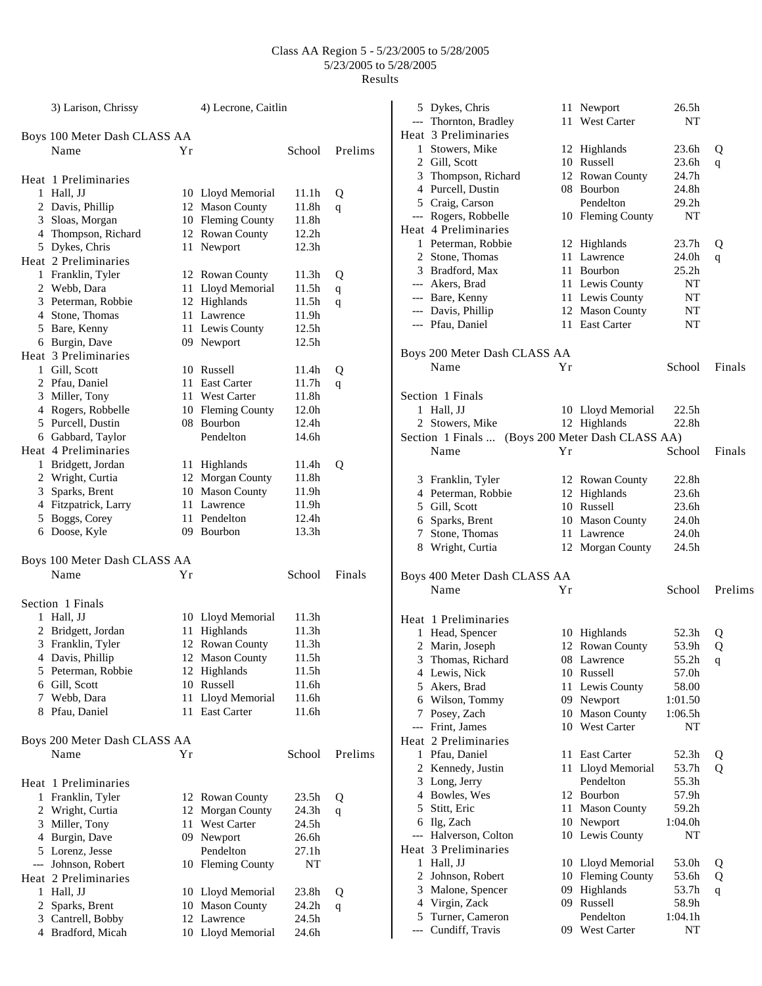|   | 3) Larison, Chrissy                  |    | 4) Lecrone, Caitlin |                   |         |
|---|--------------------------------------|----|---------------------|-------------------|---------|
|   | Boys 100 Meter Dash CLASS AA         |    |                     |                   |         |
|   | Name                                 | Υr |                     | School            | Prelims |
|   | Heat 1 Preliminaries                 |    |                     |                   |         |
|   | 1 Hall, JJ                           |    | 10 Lloyd Memorial   | 11.1h             | Q       |
|   | 2 Davis, Phillip                     |    | 12 Mason County     | 11.8h             | q       |
|   | 3 Sloas, Morgan                      |    | 10 Fleming County   | 11.8h             |         |
|   | 4 Thompson, Richard                  |    | 12 Rowan County     | 12.2h             |         |
|   | 5 Dykes, Chris                       | 11 | Newport             | 12.3h             |         |
|   | Heat 2 Preliminaries                 |    |                     |                   |         |
|   | 1 Franklin, Tyler                    |    | 12 Rowan County     | 11.3 <sub>h</sub> | Q       |
|   | 2 Webb, Dara                         | 11 | Lloyd Memorial      | 11.5h             |         |
|   | 3 Peterman, Robbie                   |    | 12 Highlands        | 11.5h             | q       |
|   | 4 Stone, Thomas                      | 11 | Lawrence            | 11.9h             | q       |
|   | 5 Bare, Kenny                        |    | 11 Lewis County     | 12.5h             |         |
|   | 6 Burgin, Dave                       |    | 09 Newport          | 12.5h             |         |
|   | Heat 3 Preliminaries                 |    |                     |                   |         |
|   | 1 Gill, Scott                        | 10 | Russell             | 11.4h             |         |
|   |                                      |    | 11 East Carter      |                   | Q       |
|   | 2 Pfau, Daniel                       |    |                     | 11.7h             | q       |
|   | 3 Miller, Tony                       |    | 11 West Carter      | 11.8h             |         |
|   | 4 Rogers, Robbelle                   |    | 10 Fleming County   | 12.0h             |         |
|   | 5 Purcell, Dustin                    |    | 08 Bourbon          | 12.4h             |         |
|   | 6 Gabbard, Taylor                    |    | Pendelton           | 14.6h             |         |
|   | Heat 4 Preliminaries                 |    |                     |                   |         |
|   | 1 Bridgett, Jordan                   |    | 11 Highlands        | 11.4h             | Q       |
|   | 2 Wright, Curtia                     |    | 12 Morgan County    | 11.8h             |         |
|   | 3 Sparks, Brent                      |    | 10 Mason County     | 11.9h             |         |
|   | 4 Fitzpatrick, Larry                 |    | 11 Lawrence         | 11.9h             |         |
|   | 5 Boggs, Corey                       | 11 | Pendelton           | 12.4h             |         |
|   | 6 Doose, Kyle                        |    | 09 Bourbon          | 13.3h             |         |
|   | Boys 100 Meter Dash CLASS AA         |    |                     |                   |         |
|   | Name                                 | Υr |                     | School            | Finals  |
|   |                                      |    |                     |                   |         |
|   | Section 1 Finals                     |    |                     |                   |         |
|   | 1 Hall, JJ                           |    | 10 Lloyd Memorial   | 11.3h             |         |
|   | 2 Bridgett, Jordan                   | 11 | Highlands           | 11.3 <sub>h</sub> |         |
|   | 3 Franklin, Tyler                    | 12 | <b>Rowan County</b> | 11.3h             |         |
|   | 4 Davis, Phillip                     |    | 12 Mason County     | 11.5h             |         |
|   | 5 Peterman, Robbie                   |    | 12 Highlands        | 11.5h             |         |
|   | 6 Gill, Scott                        | 10 | Russell             | 11.6h             |         |
|   | 7 Webb, Dara                         | 11 | Lloyd Memorial      | 11.6h             |         |
|   | 8 Pfau, Daniel                       | 11 | <b>East Carter</b>  | 11.6h             |         |
|   |                                      |    |                     |                   |         |
|   | Boys 200 Meter Dash CLASS AA<br>Name | Υr |                     | School            | Prelims |
|   |                                      |    |                     |                   |         |
|   |                                      |    |                     |                   |         |
|   | Heat 1 Preliminaries                 |    |                     |                   |         |
|   | 1 Franklin, Tyler                    |    | 12 Rowan County     | 23.5 <sub>h</sub> | Q       |
|   | 2 Wright, Curtia                     |    | 12 Morgan County    | 24.3h             | q       |
|   | 3 Miller, Tony                       | 11 | <b>West Carter</b>  | 24.5h             |         |
|   | 4 Burgin, Dave                       |    | 09 Newport          | 26.6h             |         |
|   | 5 Lorenz, Jesse                      |    | Pendelton           | 27.1h             |         |
|   | --- Johnson, Robert                  |    | 10 Fleming County   | NT                |         |
|   | Heat 2 Preliminaries                 |    |                     |                   |         |
|   | 1 Hall, JJ                           |    | 10 Lloyd Memorial   | 23.8h             | Q       |
| 2 | Sparks, Brent                        | 10 | <b>Mason County</b> | 24.2h             | q       |
|   | 3 Cantrell, Bobby                    |    | 12 Lawrence         | 24.5h             |         |
|   | 4 Bradford, Micah                    |    | 10 Lloyd Memorial   | 24.6h             |         |

|       | 5 Dykes, Chris                                   |     | 11 Newport                    | 26.5h             |         |
|-------|--------------------------------------------------|-----|-------------------------------|-------------------|---------|
|       | --- Thornton, Bradley                            | 11- | West Carter                   | NT                |         |
|       | Heat 3 Preliminaries                             |     |                               |                   |         |
|       | 1 Stowers, Mike                                  |     | 12 Highlands                  | 23.6h             | Q       |
|       | 2 Gill, Scott                                    |     | 10 Russell                    | 23.6h             | q       |
|       | 3 Thompson, Richard                              |     | 12 Rowan County               | 24.7h             |         |
|       | 4 Purcell, Dustin                                |     | 08 Bourbon                    | 24.8h             |         |
|       | 5 Craig, Carson                                  |     | Pendelton                     | 29.2 <sub>h</sub> |         |
|       | --- Rogers, Robbelle                             |     | 10 Fleming County             | NΤ                |         |
|       | Heat 4 Preliminaries                             |     |                               |                   |         |
|       | 1 Peterman, Robbie                               |     | 12 Highlands                  | 23.7 <sub>h</sub> | Q       |
|       | 2 Stone, Thomas                                  |     | 11 Lawrence                   | 24.0h             | q       |
|       | 3 Bradford, Max                                  |     | 11 Bourbon                    | 25.2 <sub>h</sub> |         |
|       | --- Akers, Brad                                  |     | 11 Lewis County               | NT                |         |
|       | --- Bare, Kenny                                  |     | 11 Lewis County               | NT                |         |
|       | --- Davis, Phillip                               |     | 12 Mason County               | NT                |         |
|       | --- Pfau, Daniel                                 |     | 11 East Carter                | NT                |         |
|       | Boys 200 Meter Dash CLASS AA                     |     |                               |                   |         |
|       | Name                                             | Yr  |                               | School            | Finals  |
|       |                                                  |     |                               |                   |         |
|       | Section 1 Finals                                 |     |                               |                   |         |
|       | 1 Hall, JJ                                       |     | 10 Lloyd Memorial             | 22.5h             |         |
|       | 2 Stowers, Mike                                  |     | 12 Highlands                  | 22.8h             |         |
|       | Section 1 Finals  (Boys 200 Meter Dash CLASS AA) |     |                               |                   |         |
|       | Name                                             | Yr  |                               | School            | Finals  |
|       | 3 Franklin, Tyler                                |     | 12 Rowan County               | 22.8h             |         |
|       | 4 Peterman, Robbie                               |     | 12 Highlands                  | 23.6h             |         |
|       | 5 Gill, Scott                                    |     | 10 Russell                    | 23.6h             |         |
|       | 6 Sparks, Brent                                  |     | 10 Mason County               | 24.0h             |         |
|       | 7 Stone, Thomas                                  |     | 11 Lawrence                   | 24.0h             |         |
|       | 8 Wright, Curtia                                 |     | 12 Morgan County              | 24.5h             |         |
|       | Boys 400 Meter Dash CLASS AA                     |     |                               |                   |         |
|       | Name                                             | Yr  |                               | School            | Prelims |
|       |                                                  |     |                               |                   |         |
|       | Heat 1 Preliminaries                             |     |                               |                   |         |
|       | 1 Head, Spencer                                  |     | 10 Highlands                  | 52.3h             | Q       |
|       | 2 Marin, Joseph                                  |     | 12 Rowan County               | 53.9h             | Q       |
|       | 3 Thomas, Richard                                | 08  | Lawrence                      | 55.2h             | q       |
|       | 4 Lewis, Nick                                    |     | 10 Russell                    | 57.0h             |         |
|       | 5 Akers, Brad                                    |     | 11 Lewis County               | 58.00             |         |
|       | 6 Wilson, Tommy                                  |     | 09 Newport                    | 1:01.50           |         |
|       | 7 Posey, Zach                                    |     | 10 Mason County               | 1:06.5h           |         |
|       | --- Frint, James                                 |     | 10 West Carter                | NT                |         |
|       | Heat 2 Preliminaries                             |     |                               |                   |         |
|       | 1 Pfau, Daniel                                   |     | 11 East Carter                | 52.3h             | Q       |
|       | 2 Kennedy, Justin                                |     | 11 Lloyd Memorial             | 53.7h             | Q       |
|       | 3 Long, Jerry                                    |     | Pendelton                     | 55.3h             |         |
|       | 4 Bowles, Wes                                    |     | 12 Bourbon                    | 57.9h             |         |
|       | 5 Stitt, Eric                                    |     | 11 Mason County               | 59.2h             |         |
|       | 6 Ilg, Zach                                      |     | 10 Newport<br>10 Lewis County | 1:04.0h<br>NT     |         |
|       | --- Halverson, Colton<br>Heat 3 Preliminaries    |     |                               |                   |         |
|       | 1 Hall, JJ                                       |     | 10 Lloyd Memorial             | 53.0h             |         |
|       | 2 Johnson, Robert                                |     | 10 Fleming County             | 53.6h             | Q<br>Q  |
|       | 3 Malone, Spencer                                | 09  | Highlands                     | 53.7h             | q       |
|       | 4 Virgin, Zack                                   |     | 09 Russell                    | 58.9h             |         |
|       | 5 Turner, Cameron                                |     | Pendelton                     | 1:04.1h           |         |
| $---$ | Cundiff, Travis                                  |     | 09 West Carter                | NT                |         |
|       |                                                  |     |                               |                   |         |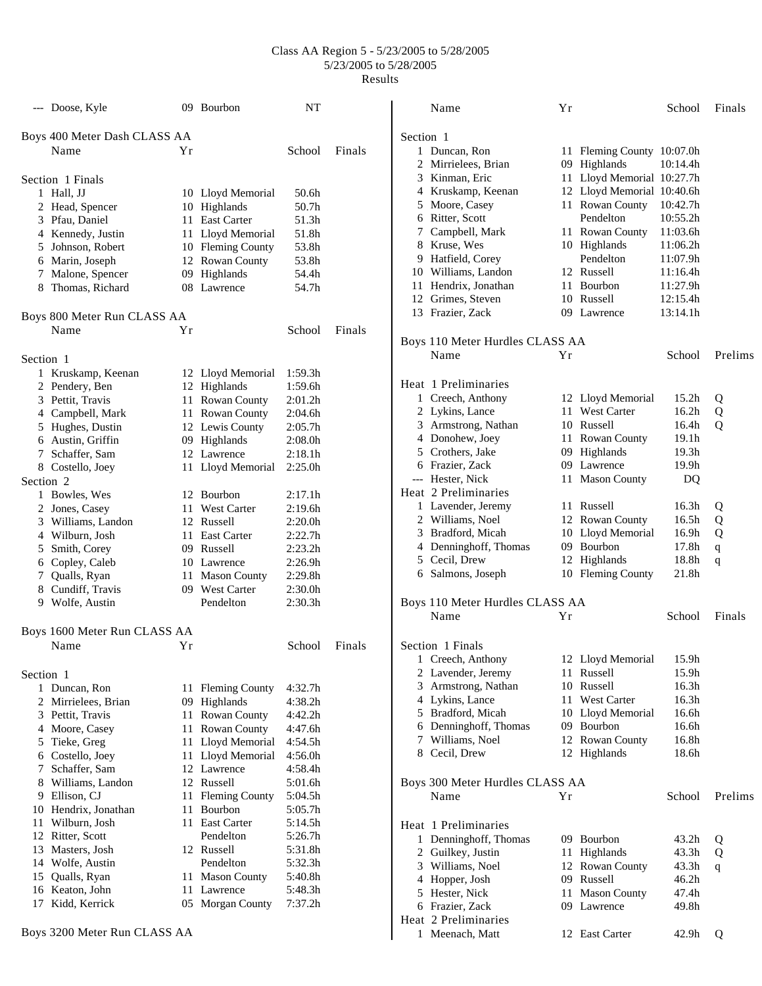|                      | --- Doose, Kyle              |    | 09 Bourbon        | NT                  |        |
|----------------------|------------------------------|----|-------------------|---------------------|--------|
|                      | Boys 400 Meter Dash CLASS AA |    |                   |                     |        |
|                      | Name                         | Υr |                   | School              | Finals |
|                      | Section 1 Finals             |    |                   |                     |        |
| 1                    | Hall, JJ                     |    | 10 Lloyd Memorial | 50.6h               |        |
|                      | 2 Head, Spencer              |    | 10 Highlands      | 50.7h               |        |
|                      | 3 Pfau, Daniel               |    | 11 East Carter    | 51.3h               |        |
|                      | 4 Kennedy, Justin            |    | 11 Lloyd Memorial | 51.8h               |        |
|                      | 5 Johnson, Robert            |    | 10 Fleming County | 53.8h               |        |
|                      | 6 Marin, Joseph              |    | 12 Rowan County   | 53.8h               |        |
|                      | 7 Malone, Spencer            |    | 09 Highlands      | 54.4h               |        |
|                      | 8 Thomas, Richard            |    | 08 Lawrence       | 54.7h               |        |
|                      | Boys 800 Meter Run CLASS AA  |    |                   |                     |        |
|                      | Name                         | Υr |                   | School              | Finals |
| Section 1            |                              |    |                   |                     |        |
| 1                    | Kruskamp, Keenan             |    | 12 Lloyd Memorial | 1:59.3h             |        |
|                      | 2 Pendery, Ben               |    | 12 Highlands      | 1:59.6h             |        |
|                      | 3 Pettit, Travis             |    | 11 Rowan County   | 2:01.2h             |        |
|                      | 4 Campbell, Mark             |    | 11 Rowan County   | 2:04.6h             |        |
|                      | 5 Hughes, Dustin             |    | 12 Lewis County   | 2:05.7h             |        |
|                      | 6 Austin, Griffin            |    | 09 Highlands      | 2:08.0 <sub>h</sub> |        |
|                      | 7 Schaffer, Sam              |    | 12 Lawrence       | 2:18.1h             |        |
|                      | 8 Costello, Joey             |    | 11 Lloyd Memorial | 2:25.0h             |        |
| Section <sub>2</sub> |                              |    |                   |                     |        |
|                      | 1 Bowles, Wes                |    | 12 Bourbon        | 2:17.1h             |        |
|                      | 2 Jones, Casey               |    | 11 West Carter    | 2:19.6h             |        |
|                      | 3 Williams, Landon           |    | 12 Russell        | 2:20.0 <sub>h</sub> |        |
|                      | 4 Wilburn, Josh              |    | 11 East Carter    | 2:22.7h             |        |
|                      | 5 Smith, Corey               |    | 09 Russell        | 2:23.2h             |        |
|                      | 6 Copley, Caleb              |    | 10 Lawrence       | 2:26.9h             |        |
|                      | 7 Qualls, Ryan               |    | 11 Mason County   | 2:29.8h             |        |
|                      | 8 Cundiff, Travis            |    | 09 West Carter    | 2:30.0 <sub>h</sub> |        |
|                      | 9 Wolfe, Austin              |    | Pendelton         | 2:30.3h             |        |
|                      | Boys 1600 Meter Run CLASS AA |    |                   |                     |        |
|                      | Name                         | Υr |                   | School              | Finals |
|                      |                              |    |                   |                     |        |
| Section 1            |                              |    |                   |                     |        |
|                      | 1 Duncan, Ron                |    | 11 Fleming County | 4:32.7h             |        |
|                      | 2 Mirrielees, Brian          |    | 09 Highlands      | 4:38.2h             |        |
|                      | 3 Pettit, Travis             |    | 11 Rowan County   | 4:42.2h             |        |
|                      | 4 Moore, Casey               |    | 11 Rowan County   | 4:47.6h             |        |
|                      | 5 Tieke, Greg                |    | 11 Lloyd Memorial | 4:54.5h             |        |
|                      | 6 Costello, Joey             |    | 11 Lloyd Memorial | 4:56.0h             |        |
|                      | 7 Schaffer, Sam              |    | 12 Lawrence       | 4:58.4h             |        |
|                      | 8 Williams, Landon           |    | 12 Russell        | 5:01.6h             |        |
|                      | 9 Ellison, CJ                |    | 11 Fleming County | 5:04.5h             |        |
|                      | 10 Hendrix, Jonathan         |    | 11 Bourbon        | 5:05.7h             |        |
|                      | 11 Wilburn, Josh             |    | 11 East Carter    | 5:14.5h             |        |
|                      | 12 Ritter, Scott             |    | Pendelton         | 5:26.7h             |        |
|                      | 13 Masters, Josh             |    | 12 Russell        | 5:31.8h             |        |
|                      | 14 Wolfe, Austin             |    | Pendelton         | 5:32.3h             |        |
|                      | 15 Qualls, Ryan              |    | 11 Mason County   | 5:40.8h             |        |
|                      | 16 Keaton, John              |    | 11 Lawrence       | 5:48.3h             |        |
| 17                   | Kidd, Kerrick                |    | 05 Morgan County  | 7:37.2h             |        |
|                      |                              |    |                   |                     |        |

Boys 3200 Meter Run CLASS AA

| Name                  | Υr                                                                                                                                                                                                                                                                                                                                                                                                                                             |                | School                                                                                                                                                                                                                                                                                                                                                                                                                                                                                                                                                                                                                                                                                                                                   | Finals                                                                                                                                                                                                                                                                                                   |
|-----------------------|------------------------------------------------------------------------------------------------------------------------------------------------------------------------------------------------------------------------------------------------------------------------------------------------------------------------------------------------------------------------------------------------------------------------------------------------|----------------|------------------------------------------------------------------------------------------------------------------------------------------------------------------------------------------------------------------------------------------------------------------------------------------------------------------------------------------------------------------------------------------------------------------------------------------------------------------------------------------------------------------------------------------------------------------------------------------------------------------------------------------------------------------------------------------------------------------------------------------|----------------------------------------------------------------------------------------------------------------------------------------------------------------------------------------------------------------------------------------------------------------------------------------------------------|
| Section 1             |                                                                                                                                                                                                                                                                                                                                                                                                                                                |                |                                                                                                                                                                                                                                                                                                                                                                                                                                                                                                                                                                                                                                                                                                                                          |                                                                                                                                                                                                                                                                                                          |
|                       |                                                                                                                                                                                                                                                                                                                                                                                                                                                |                |                                                                                                                                                                                                                                                                                                                                                                                                                                                                                                                                                                                                                                                                                                                                          |                                                                                                                                                                                                                                                                                                          |
|                       |                                                                                                                                                                                                                                                                                                                                                                                                                                                |                |                                                                                                                                                                                                                                                                                                                                                                                                                                                                                                                                                                                                                                                                                                                                          |                                                                                                                                                                                                                                                                                                          |
|                       |                                                                                                                                                                                                                                                                                                                                                                                                                                                |                |                                                                                                                                                                                                                                                                                                                                                                                                                                                                                                                                                                                                                                                                                                                                          |                                                                                                                                                                                                                                                                                                          |
|                       |                                                                                                                                                                                                                                                                                                                                                                                                                                                |                |                                                                                                                                                                                                                                                                                                                                                                                                                                                                                                                                                                                                                                                                                                                                          |                                                                                                                                                                                                                                                                                                          |
|                       |                                                                                                                                                                                                                                                                                                                                                                                                                                                |                |                                                                                                                                                                                                                                                                                                                                                                                                                                                                                                                                                                                                                                                                                                                                          |                                                                                                                                                                                                                                                                                                          |
|                       |                                                                                                                                                                                                                                                                                                                                                                                                                                                |                |                                                                                                                                                                                                                                                                                                                                                                                                                                                                                                                                                                                                                                                                                                                                          |                                                                                                                                                                                                                                                                                                          |
|                       |                                                                                                                                                                                                                                                                                                                                                                                                                                                |                |                                                                                                                                                                                                                                                                                                                                                                                                                                                                                                                                                                                                                                                                                                                                          |                                                                                                                                                                                                                                                                                                          |
|                       |                                                                                                                                                                                                                                                                                                                                                                                                                                                |                |                                                                                                                                                                                                                                                                                                                                                                                                                                                                                                                                                                                                                                                                                                                                          |                                                                                                                                                                                                                                                                                                          |
|                       |                                                                                                                                                                                                                                                                                                                                                                                                                                                |                |                                                                                                                                                                                                                                                                                                                                                                                                                                                                                                                                                                                                                                                                                                                                          |                                                                                                                                                                                                                                                                                                          |
|                       |                                                                                                                                                                                                                                                                                                                                                                                                                                                |                |                                                                                                                                                                                                                                                                                                                                                                                                                                                                                                                                                                                                                                                                                                                                          |                                                                                                                                                                                                                                                                                                          |
|                       |                                                                                                                                                                                                                                                                                                                                                                                                                                                |                |                                                                                                                                                                                                                                                                                                                                                                                                                                                                                                                                                                                                                                                                                                                                          |                                                                                                                                                                                                                                                                                                          |
|                       |                                                                                                                                                                                                                                                                                                                                                                                                                                                |                |                                                                                                                                                                                                                                                                                                                                                                                                                                                                                                                                                                                                                                                                                                                                          |                                                                                                                                                                                                                                                                                                          |
| 13 Frazier, Zack      |                                                                                                                                                                                                                                                                                                                                                                                                                                                |                | 13:14.1h                                                                                                                                                                                                                                                                                                                                                                                                                                                                                                                                                                                                                                                                                                                                 |                                                                                                                                                                                                                                                                                                          |
|                       |                                                                                                                                                                                                                                                                                                                                                                                                                                                |                |                                                                                                                                                                                                                                                                                                                                                                                                                                                                                                                                                                                                                                                                                                                                          |                                                                                                                                                                                                                                                                                                          |
|                       |                                                                                                                                                                                                                                                                                                                                                                                                                                                |                |                                                                                                                                                                                                                                                                                                                                                                                                                                                                                                                                                                                                                                                                                                                                          | Prelims                                                                                                                                                                                                                                                                                                  |
|                       |                                                                                                                                                                                                                                                                                                                                                                                                                                                |                |                                                                                                                                                                                                                                                                                                                                                                                                                                                                                                                                                                                                                                                                                                                                          |                                                                                                                                                                                                                                                                                                          |
| Heat 1 Preliminaries  |                                                                                                                                                                                                                                                                                                                                                                                                                                                |                |                                                                                                                                                                                                                                                                                                                                                                                                                                                                                                                                                                                                                                                                                                                                          |                                                                                                                                                                                                                                                                                                          |
|                       |                                                                                                                                                                                                                                                                                                                                                                                                                                                |                | 15.2h                                                                                                                                                                                                                                                                                                                                                                                                                                                                                                                                                                                                                                                                                                                                    | Q                                                                                                                                                                                                                                                                                                        |
|                       |                                                                                                                                                                                                                                                                                                                                                                                                                                                |                |                                                                                                                                                                                                                                                                                                                                                                                                                                                                                                                                                                                                                                                                                                                                          | Q                                                                                                                                                                                                                                                                                                        |
|                       |                                                                                                                                                                                                                                                                                                                                                                                                                                                |                |                                                                                                                                                                                                                                                                                                                                                                                                                                                                                                                                                                                                                                                                                                                                          | Q                                                                                                                                                                                                                                                                                                        |
|                       |                                                                                                                                                                                                                                                                                                                                                                                                                                                |                |                                                                                                                                                                                                                                                                                                                                                                                                                                                                                                                                                                                                                                                                                                                                          |                                                                                                                                                                                                                                                                                                          |
|                       |                                                                                                                                                                                                                                                                                                                                                                                                                                                |                |                                                                                                                                                                                                                                                                                                                                                                                                                                                                                                                                                                                                                                                                                                                                          |                                                                                                                                                                                                                                                                                                          |
|                       |                                                                                                                                                                                                                                                                                                                                                                                                                                                |                | 19.9h                                                                                                                                                                                                                                                                                                                                                                                                                                                                                                                                                                                                                                                                                                                                    |                                                                                                                                                                                                                                                                                                          |
| --- Hester, Nick      |                                                                                                                                                                                                                                                                                                                                                                                                                                                |                | DQ                                                                                                                                                                                                                                                                                                                                                                                                                                                                                                                                                                                                                                                                                                                                       |                                                                                                                                                                                                                                                                                                          |
|                       |                                                                                                                                                                                                                                                                                                                                                                                                                                                |                |                                                                                                                                                                                                                                                                                                                                                                                                                                                                                                                                                                                                                                                                                                                                          |                                                                                                                                                                                                                                                                                                          |
| 1 Lavender, Jeremy    |                                                                                                                                                                                                                                                                                                                                                                                                                                                |                | 16.3h                                                                                                                                                                                                                                                                                                                                                                                                                                                                                                                                                                                                                                                                                                                                    | Q                                                                                                                                                                                                                                                                                                        |
| 2 Williams, Noel      |                                                                                                                                                                                                                                                                                                                                                                                                                                                |                | 16.5h                                                                                                                                                                                                                                                                                                                                                                                                                                                                                                                                                                                                                                                                                                                                    | Q                                                                                                                                                                                                                                                                                                        |
| 3 Bradford, Micah     |                                                                                                                                                                                                                                                                                                                                                                                                                                                |                | 16.9h                                                                                                                                                                                                                                                                                                                                                                                                                                                                                                                                                                                                                                                                                                                                    | Q                                                                                                                                                                                                                                                                                                        |
| 4 Denninghoff, Thomas |                                                                                                                                                                                                                                                                                                                                                                                                                                                |                | 17.8h                                                                                                                                                                                                                                                                                                                                                                                                                                                                                                                                                                                                                                                                                                                                    | $\mathbf{q}$                                                                                                                                                                                                                                                                                             |
| 5 Cecil, Drew         |                                                                                                                                                                                                                                                                                                                                                                                                                                                |                | 18.8h                                                                                                                                                                                                                                                                                                                                                                                                                                                                                                                                                                                                                                                                                                                                    | q                                                                                                                                                                                                                                                                                                        |
| 6 Salmons, Joseph     |                                                                                                                                                                                                                                                                                                                                                                                                                                                |                | 21.8h                                                                                                                                                                                                                                                                                                                                                                                                                                                                                                                                                                                                                                                                                                                                    |                                                                                                                                                                                                                                                                                                          |
|                       |                                                                                                                                                                                                                                                                                                                                                                                                                                                |                |                                                                                                                                                                                                                                                                                                                                                                                                                                                                                                                                                                                                                                                                                                                                          |                                                                                                                                                                                                                                                                                                          |
|                       |                                                                                                                                                                                                                                                                                                                                                                                                                                                |                |                                                                                                                                                                                                                                                                                                                                                                                                                                                                                                                                                                                                                                                                                                                                          | Finals                                                                                                                                                                                                                                                                                                   |
|                       |                                                                                                                                                                                                                                                                                                                                                                                                                                                |                |                                                                                                                                                                                                                                                                                                                                                                                                                                                                                                                                                                                                                                                                                                                                          |                                                                                                                                                                                                                                                                                                          |
| Section 1 Finals      |                                                                                                                                                                                                                                                                                                                                                                                                                                                |                |                                                                                                                                                                                                                                                                                                                                                                                                                                                                                                                                                                                                                                                                                                                                          |                                                                                                                                                                                                                                                                                                          |
| 1 Creech, Anthony     |                                                                                                                                                                                                                                                                                                                                                                                                                                                |                | 15.9h                                                                                                                                                                                                                                                                                                                                                                                                                                                                                                                                                                                                                                                                                                                                    |                                                                                                                                                                                                                                                                                                          |
| 2 Lavender, Jeremy    |                                                                                                                                                                                                                                                                                                                                                                                                                                                |                | 15.9h                                                                                                                                                                                                                                                                                                                                                                                                                                                                                                                                                                                                                                                                                                                                    |                                                                                                                                                                                                                                                                                                          |
| 3 Armstrong, Nathan   |                                                                                                                                                                                                                                                                                                                                                                                                                                                |                | 16.3h                                                                                                                                                                                                                                                                                                                                                                                                                                                                                                                                                                                                                                                                                                                                    |                                                                                                                                                                                                                                                                                                          |
| 4 Lykins, Lance       |                                                                                                                                                                                                                                                                                                                                                                                                                                                |                | 16.3h                                                                                                                                                                                                                                                                                                                                                                                                                                                                                                                                                                                                                                                                                                                                    |                                                                                                                                                                                                                                                                                                          |
| 5 Bradford, Micah     |                                                                                                                                                                                                                                                                                                                                                                                                                                                |                | 16.6h                                                                                                                                                                                                                                                                                                                                                                                                                                                                                                                                                                                                                                                                                                                                    |                                                                                                                                                                                                                                                                                                          |
| 6 Denninghoff, Thomas |                                                                                                                                                                                                                                                                                                                                                                                                                                                |                | 16.6h                                                                                                                                                                                                                                                                                                                                                                                                                                                                                                                                                                                                                                                                                                                                    |                                                                                                                                                                                                                                                                                                          |
| 7 Williams, Noel      |                                                                                                                                                                                                                                                                                                                                                                                                                                                |                | 16.8h                                                                                                                                                                                                                                                                                                                                                                                                                                                                                                                                                                                                                                                                                                                                    |                                                                                                                                                                                                                                                                                                          |
| 8 Cecil, Drew         |                                                                                                                                                                                                                                                                                                                                                                                                                                                |                | 18.6h                                                                                                                                                                                                                                                                                                                                                                                                                                                                                                                                                                                                                                                                                                                                    |                                                                                                                                                                                                                                                                                                          |
|                       |                                                                                                                                                                                                                                                                                                                                                                                                                                                |                |                                                                                                                                                                                                                                                                                                                                                                                                                                                                                                                                                                                                                                                                                                                                          |                                                                                                                                                                                                                                                                                                          |
|                       |                                                                                                                                                                                                                                                                                                                                                                                                                                                |                |                                                                                                                                                                                                                                                                                                                                                                                                                                                                                                                                                                                                                                                                                                                                          | Prelims                                                                                                                                                                                                                                                                                                  |
|                       |                                                                                                                                                                                                                                                                                                                                                                                                                                                |                |                                                                                                                                                                                                                                                                                                                                                                                                                                                                                                                                                                                                                                                                                                                                          |                                                                                                                                                                                                                                                                                                          |
| Heat 1 Preliminaries  |                                                                                                                                                                                                                                                                                                                                                                                                                                                |                |                                                                                                                                                                                                                                                                                                                                                                                                                                                                                                                                                                                                                                                                                                                                          |                                                                                                                                                                                                                                                                                                          |
| 1                     |                                                                                                                                                                                                                                                                                                                                                                                                                                                |                | 43.2h                                                                                                                                                                                                                                                                                                                                                                                                                                                                                                                                                                                                                                                                                                                                    | Q                                                                                                                                                                                                                                                                                                        |
| 2 Guilkey, Justin     |                                                                                                                                                                                                                                                                                                                                                                                                                                                |                | 43.3h                                                                                                                                                                                                                                                                                                                                                                                                                                                                                                                                                                                                                                                                                                                                    | Q                                                                                                                                                                                                                                                                                                        |
| 3 Williams, Noel      |                                                                                                                                                                                                                                                                                                                                                                                                                                                |                | 43.3h                                                                                                                                                                                                                                                                                                                                                                                                                                                                                                                                                                                                                                                                                                                                    | q                                                                                                                                                                                                                                                                                                        |
| 4 Hopper, Josh        |                                                                                                                                                                                                                                                                                                                                                                                                                                                |                | 46.2h                                                                                                                                                                                                                                                                                                                                                                                                                                                                                                                                                                                                                                                                                                                                    |                                                                                                                                                                                                                                                                                                          |
| 5 Hester, Nick        |                                                                                                                                                                                                                                                                                                                                                                                                                                                |                | 47.4h                                                                                                                                                                                                                                                                                                                                                                                                                                                                                                                                                                                                                                                                                                                                    |                                                                                                                                                                                                                                                                                                          |
| 6 Frazier, Zack       |                                                                                                                                                                                                                                                                                                                                                                                                                                                |                | 49.8h                                                                                                                                                                                                                                                                                                                                                                                                                                                                                                                                                                                                                                                                                                                                    |                                                                                                                                                                                                                                                                                                          |
| Heat 2 Preliminaries  |                                                                                                                                                                                                                                                                                                                                                                                                                                                |                |                                                                                                                                                                                                                                                                                                                                                                                                                                                                                                                                                                                                                                                                                                                                          |                                                                                                                                                                                                                                                                                                          |
| Meenach, Matt         |                                                                                                                                                                                                                                                                                                                                                                                                                                                |                | 42.9h                                                                                                                                                                                                                                                                                                                                                                                                                                                                                                                                                                                                                                                                                                                                    | Q                                                                                                                                                                                                                                                                                                        |
|                       | 1 Duncan, Ron<br>2 Mirrielees, Brian<br>3 Kinman, Eric<br>4 Kruskamp, Keenan<br>5 Moore, Casey<br>6 Ritter, Scott<br>7 Campbell, Mark<br>8 Kruse, Wes<br>9 Hatfield, Corey<br>10 Williams, Landon<br>11 Hendrix, Jonathan<br>12 Grimes, Steven<br>Name<br>1 Creech, Anthony<br>2 Lykins, Lance<br>3 Armstrong, Nathan<br>4 Donohew, Joey<br>5 Crothers, Jake<br>6 Frazier, Zack<br>Heat 2 Preliminaries<br>Name<br>Name<br>Denninghoff, Thomas | Yr<br>Υr<br>Yr | 09 Highlands<br>11 Rowan County<br>Pendelton<br>11 Rowan County<br>10 Highlands<br>Pendelton<br>12 Russell<br>11 Bourbon<br>10 Russell<br>09 Lawrence<br>Boys 110 Meter Hurdles CLASS AA<br>12 Lloyd Memorial<br>11 West Carter<br>10 Russell<br>11 Rowan County<br>09 Highlands<br>09 Lawrence<br>11 Mason County<br>11 Russell<br>12 Rowan County<br>10 Lloyd Memorial<br>09 Bourbon<br>12 Highlands<br>10 Fleming County<br>Boys 110 Meter Hurdles CLASS AA<br>11 Russell<br>10 Russell<br>11 West Carter<br>10 Lloyd Memorial<br>09 Bourbon<br>12 Rowan County<br>12 Highlands<br>Boys 300 Meter Hurdles CLASS AA<br>09 Bourbon<br>11 Highlands<br>12 Rowan County<br>09 Russell<br>11 Mason County<br>09 Lawrence<br>12 East Carter | 10:07.0h<br>11 Fleming County<br>10:14.4h<br>11 Lloyd Memorial 10:27.7h<br>12 Lloyd Memorial 10:40.6h<br>10:42.7h<br>10:55.2h<br>11:03.6h<br>11:06.2h<br>11:07.9h<br>11:16.4h<br>11:27.9h<br>12:15.4h<br>School<br>16.2h<br>16.4h<br>19.1h<br>19.3 <sub>h</sub><br>School<br>12 Lloyd Memorial<br>School |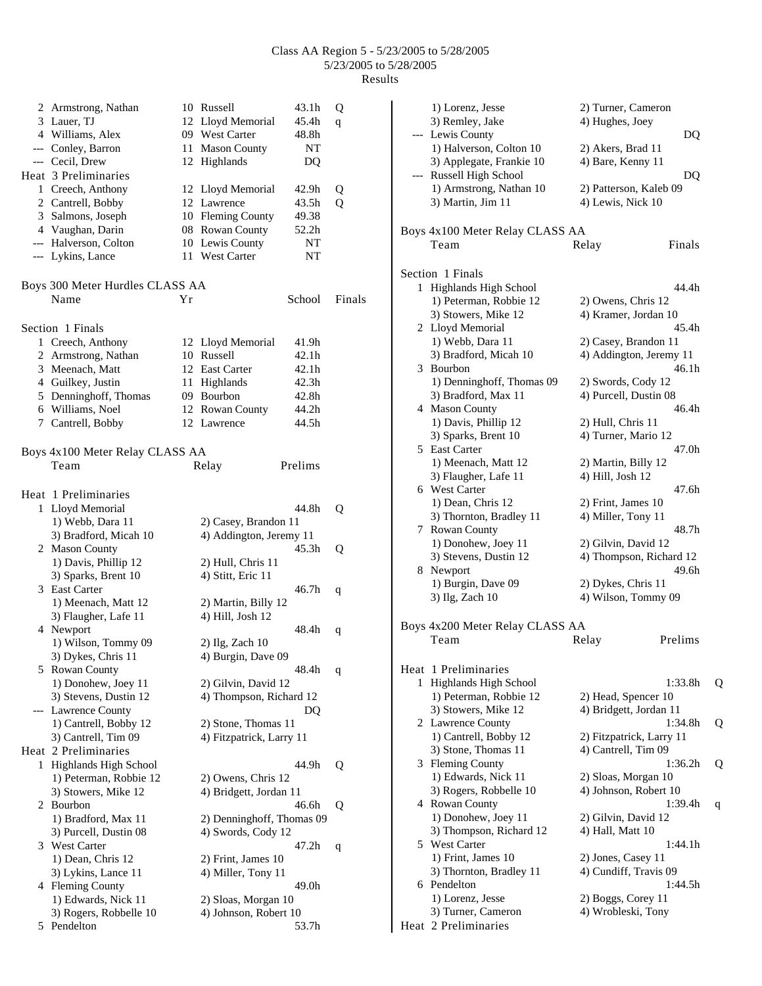|   | 2 Armstrong, Nathan                        |    | 10 Russell                        | 43.1h    | Q      |
|---|--------------------------------------------|----|-----------------------------------|----------|--------|
|   | 3 Lauer, TJ                                |    | 12 Lloyd Memorial                 | 45.4h    | q      |
|   | 4 Williams, Alex                           |    | 09 West Carter                    | 48.8h    |        |
|   | --- Conley, Barron                         |    | 11 Mason County                   | NT       |        |
|   | --- Cecil, Drew                            |    | 12 Highlands                      | DQ       |        |
|   | Heat 3 Preliminaries                       |    |                                   |          |        |
|   | 1 Creech, Anthony                          |    | 12 Lloyd Memorial                 | 42.9h    | Q      |
|   | 2 Cantrell, Bobby                          |    | 12 Lawrence                       | 43.5h    | Q      |
|   | 3 Salmons, Joseph                          |    | 10 Fleming County                 | 49.38    |        |
|   | 4 Vaughan, Darin                           |    | 08 Rowan County                   | 52.2h    |        |
|   | --- Halverson, Colton<br>--- Lykins, Lance |    | 10 Lewis County<br>11 West Carter | NT<br>NT |        |
|   |                                            |    |                                   |          |        |
|   | Boys 300 Meter Hurdles CLASS AA            |    |                                   |          |        |
|   | Name                                       | Υr |                                   | School   | Finals |
|   |                                            |    |                                   |          |        |
|   | Section 1 Finals                           |    |                                   |          |        |
|   | 1 Creech, Anthony                          |    | 12 Lloyd Memorial                 | 41.9h    |        |
|   | 2 Armstrong, Nathan                        |    | 10 Russell                        | 42.1h    |        |
|   | 3 Meenach, Matt                            |    | 12 East Carter                    | 42.1h    |        |
|   | 4 Guilkey, Justin                          |    | 11 Highlands                      | 42.3h    |        |
|   | 5 Denninghoff, Thomas                      |    | 09 Bourbon                        | 42.8h    |        |
|   | 6 Williams, Noel                           |    | 12 Rowan County                   | 44.2h    |        |
|   | 7 Cantrell, Bobby                          |    | 12 Lawrence                       | 44.5h    |        |
|   |                                            |    |                                   |          |        |
|   | Boys 4x100 Meter Relay CLASS AA            |    |                                   |          |        |
|   | Team                                       |    | Relay                             | Prelims  |        |
|   |                                            |    |                                   |          |        |
|   | Heat 1 Preliminaries                       |    |                                   |          |        |
|   | 1 Lloyd Memorial                           |    |                                   | 44.8h    | Q      |
|   | 1) Webb, Dara 11                           |    | 2) Casey, Brandon 11              |          |        |
|   | 3) Bradford, Micah 10<br>2 Mason County    |    | 4) Addington, Jeremy 11           | 45.3h    |        |
|   | 1) Davis, Phillip 12                       |    | 2) Hull, Chris 11                 |          | Q      |
|   | 3) Sparks, Brent 10                        |    | 4) Stitt, Eric 11                 |          |        |
|   | 3 East Carter                              |    |                                   | 46.7h    | q      |
|   | 1) Meenach, Matt 12                        |    | 2) Martin, Billy 12               |          |        |
|   | 3) Flaugher, Lafe 11                       |    | 4) Hill, Josh 12                  |          |        |
|   | 4 Newport                                  |    |                                   | 48.4h    | q      |
|   | 1) Wilson, Tommy 09                        |    | 2) Ilg, Zach 10                   |          |        |
|   | 3) Dykes, Chris 11                         |    | 4) Burgin, Dave 09                |          |        |
|   | 5 Rowan County                             |    |                                   | 48.4h    | q      |
|   | 1) Donohew, Joey 11                        |    | 2) Gilvin, David 12               |          |        |
|   | 3) Stevens, Dustin 12                      |    | 4) Thompson, Richard 12           |          |        |
|   | --- Lawrence County                        |    |                                   | DQ       |        |
|   | 1) Cantrell, Bobby 12                      |    | 2) Stone, Thomas 11               |          |        |
|   | 3) Cantrell, Tim 09                        |    | 4) Fitzpatrick, Larry 11          |          |        |
|   | Heat 2 Preliminaries                       |    |                                   |          |        |
| 1 | Highlands High School                      |    |                                   | 44.9h    | Q      |
|   | 1) Peterman, Robbie 12                     |    | 2) Owens, Chris 12                |          |        |
|   | 3) Stowers, Mike 12                        |    | 4) Bridgett, Jordan 11            |          |        |
| 2 | Bourbon<br>1) Bradford, Max 11             |    | 2) Denninghoff, Thomas 09         | 46.6h    | Q      |
|   |                                            |    |                                   |          |        |
|   | 3) Purcell, Dustin 08<br>3 West Carter     |    | 4) Swords, Cody 12                | 47.2h    |        |
|   | 1) Dean, Chris 12                          |    | 2) Frint, James 10                |          | q      |
|   | 3) Lykins, Lance 11                        |    | 4) Miller, Tony 11                |          |        |
|   | 4 Fleming County                           |    |                                   | 49.0h    |        |
|   | 1) Edwards, Nick 11                        |    | 2) Sloas, Morgan 10               |          |        |
|   | 3) Rogers, Robbelle 10                     |    | 4) Johnson, Robert 10             |          |        |
| 5 | Pendelton                                  |    |                                   | 53.7h    |        |

|    | 1) Lorenz, Jesse                | 2) Turner, Cameron       |   |  |
|----|---------------------------------|--------------------------|---|--|
|    | 3) Remley, Jake                 | 4) Hughes, Joey          |   |  |
|    | --- Lewis County                | DQ                       |   |  |
|    | 1) Halverson, Colton 10         | 2) Akers, Brad 11        |   |  |
|    | 3) Applegate, Frankie 10        | 4) Bare, Kenny 11        |   |  |
|    | Russell High School             | DQ                       |   |  |
|    | 1) Armstrong, Nathan 10         | 2) Patterson, Kaleb 09   |   |  |
|    | 3) Martin, Jim 11               | 4) Lewis, Nick 10        |   |  |
|    |                                 |                          |   |  |
|    | Boys 4x100 Meter Relay CLASS AA |                          |   |  |
|    | Team                            | Finals<br>Relay          |   |  |
|    |                                 |                          |   |  |
|    |                                 |                          |   |  |
|    | Section 1 Finals                |                          |   |  |
| 1  | Highlands High School           | 44.4h                    |   |  |
|    | 1) Peterman, Robbie 12          | 2) Owens, Chris 12       |   |  |
|    | 3) Stowers, Mike 12             | 4) Kramer, Jordan 10     |   |  |
|    | 2 Lloyd Memorial                | 45.4h                    |   |  |
|    | 1) Webb, Dara 11                | 2) Casey, Brandon 11     |   |  |
|    | 3) Bradford, Micah 10           | 4) Addington, Jeremy 11  |   |  |
| 3  | Bourbon                         | 46.1h                    |   |  |
|    | 1) Denninghoff, Thomas 09       | 2) Swords, Cody 12       |   |  |
|    | 3) Bradford, Max 11             | 4) Purcell, Dustin 08    |   |  |
|    | 4 Mason County                  | 46.4h                    |   |  |
|    | 1) Davis, Phillip 12            | 2) Hull, Chris 11        |   |  |
|    | 3) Sparks, Brent 10             | 4) Turner, Mario 12      |   |  |
|    | 5 East Carter                   | 47.0h                    |   |  |
|    | 1) Meenach, Matt 12             | 2) Martin, Billy 12      |   |  |
|    | 3) Flaugher, Lafe 11            | 4) Hill, Josh 12         |   |  |
|    | 6 West Carter                   | 47.6h                    |   |  |
|    | 1) Dean, Chris 12               | 2) Frint, James 10       |   |  |
|    | 3) Thornton, Bradley 11         | 4) Miller, Tony 11       |   |  |
|    | 7 Rowan County                  | 48.7h                    |   |  |
|    | 1) Donohew, Joey 11             | 2) Gilvin, David 12      |   |  |
|    | 3) Stevens, Dustin 12           | 4) Thompson, Richard 12  |   |  |
| 8. | Newport                         | 49.6h                    |   |  |
|    | 1) Burgin, Dave 09              | 2) Dykes, Chris 11       |   |  |
|    | 3) Ilg, Zach 10                 | 4) Wilson, Tommy 09      |   |  |
|    |                                 |                          |   |  |
|    | Boys 4x200 Meter Relay CLASS AA |                          |   |  |
|    | Team                            | Prelims<br>Relay         |   |  |
|    |                                 |                          |   |  |
|    | Heat 1 Preliminaries            |                          |   |  |
| 1  | Highlands High School           | 1:33.8h                  | Q |  |
|    | 1) Peterman, Robbie 12          | 2) Head, Spencer 10      |   |  |
|    | 3) Stowers, Mike 12             | 4) Bridgett, Jordan 11   |   |  |
|    | 2 Lawrence County               | 1:34.8h                  | Q |  |
|    | 1) Cantrell, Bobby 12           | 2) Fitzpatrick, Larry 11 |   |  |
|    | 3) Stone, Thomas 11             | 4) Cantrell, Tim 09      |   |  |
| 3  | <b>Fleming County</b>           | 1:36.2h                  | Q |  |
|    | 1) Edwards, Nick 11             | 2) Sloas, Morgan 10      |   |  |
|    | 3) Rogers, Robbelle 10          | 4) Johnson, Robert 10    |   |  |
| 4  | Rowan County                    | 1:39.4h                  |   |  |
|    | 1) Donohew, Joey 11             | 2) Gilvin, David 12      | q |  |
|    |                                 |                          |   |  |
|    | 3) Thompson, Richard 12         | 4) Hall, Matt 10         |   |  |
|    | 5 West Carter                   | 1:44.1h                  |   |  |
|    | 1) Frint, James 10              | 2) Jones, Casey 11       |   |  |
|    | 3) Thornton, Bradley 11         | 4) Cundiff, Travis 09    |   |  |
| 6  | Pendelton                       | 1:44.5h                  |   |  |
|    | 1) Lorenz, Jesse                | 2) Boggs, Corey 11       |   |  |
|    | 3) Turner, Cameron              | 4) Wrobleski, Tony       |   |  |
|    | Heat 2 Preliminaries            |                          |   |  |
|    |                                 |                          |   |  |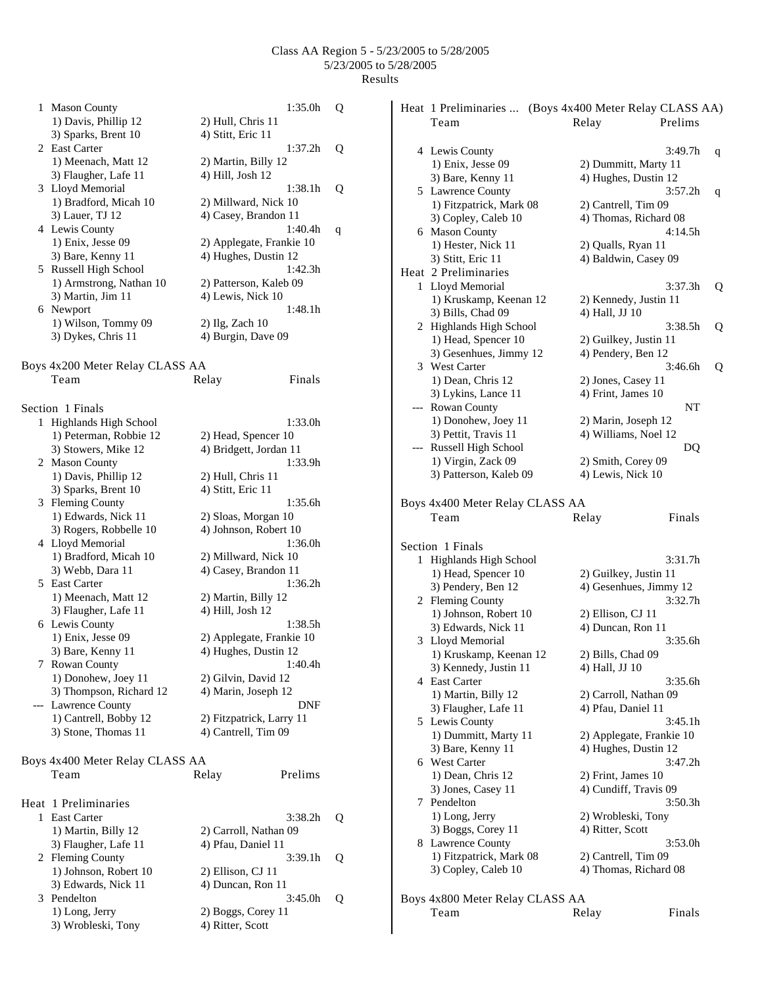| 1   | <b>Mason County</b>             | 1:35.0h                  | Q |
|-----|---------------------------------|--------------------------|---|
|     | 1) Davis, Phillip 12            | 2) Hull, Chris 11        |   |
|     | 3) Sparks, Brent 10             | 4) Stitt, Eric 11        |   |
|     | 2 East Carter                   | 1:37.2h                  | Q |
|     | 1) Meenach, Matt 12             | 2) Martin, Billy 12      |   |
|     | 3) Flaugher, Lafe 11            | 4) Hill, Josh 12         |   |
|     |                                 |                          |   |
|     | 3 Lloyd Memorial                | 1:38.1h                  | Q |
|     | 1) Bradford, Micah 10           | 2) Millward, Nick 10     |   |
|     | 3) Lauer, TJ 12                 | 4) Casey, Brandon 11     |   |
|     | 4 Lewis County                  | 1:40.4h                  | q |
|     | 1) Enix, Jesse 09               | 2) Applegate, Frankie 10 |   |
|     | 3) Bare, Kenny 11               | 4) Hughes, Dustin 12     |   |
|     | 5 Russell High School           | 1:42.3h                  |   |
|     | 1) Armstrong, Nathan 10         | 2) Patterson, Kaleb 09   |   |
|     | 3) Martin, Jim 11               | 4) Lewis, Nick 10        |   |
|     | 6 Newport                       | 1:48.1h                  |   |
|     |                                 |                          |   |
|     | 1) Wilson, Tommy 09             | $2)$ Ilg, Zach 10        |   |
|     | 3) Dykes, Chris 11              | 4) Burgin, Dave 09       |   |
|     |                                 |                          |   |
|     | Boys 4x200 Meter Relay CLASS AA |                          |   |
|     | Team                            | Finals<br>Relay          |   |
|     |                                 |                          |   |
|     |                                 |                          |   |
|     | Section 1 Finals                |                          |   |
|     | 1 Highlands High School         | 1:33.0h                  |   |
|     | 1) Peterman, Robbie 12          | 2) Head, Spencer 10      |   |
|     | 3) Stowers, Mike 12             | 4) Bridgett, Jordan 11   |   |
|     | 2 Mason County                  | 1:33.9h                  |   |
|     | 1) Davis, Phillip 12            | 2) Hull, Chris 11        |   |
|     | 3) Sparks, Brent 10             | 4) Stitt, Eric 11        |   |
|     | 3 Fleming County                | 1:35.6h                  |   |
|     | 1) Edwards, Nick 11             | 2) Sloas, Morgan 10      |   |
|     |                                 | 4) Johnson, Robert 10    |   |
|     | 3) Rogers, Robbelle 10          |                          |   |
|     | 4 Lloyd Memorial                | 1:36.0h                  |   |
|     | 1) Bradford, Micah 10           | 2) Millward, Nick 10     |   |
|     | 3) Webb, Dara 11                | 4) Casey, Brandon 11     |   |
|     | 5 East Carter                   | 1:36.2h                  |   |
|     | 1) Meenach, Matt 12             | 2) Martin, Billy 12      |   |
|     | 3) Flaugher, Lafe 11            | 4) Hill, Josh 12         |   |
|     | 6 Lewis County                  | 1:38.5h                  |   |
|     | 1) Enix, Jesse 09               | 2) Applegate, Frankie 10 |   |
|     | 3) Bare, Kenny 11               | 4) Hughes, Dustin 12     |   |
|     |                                 |                          |   |
| 7.  | Rowan County                    | 1:40.4h                  |   |
|     | 1) Donohew, Joey 11             | 2) Gilvin, David 12      |   |
|     | 3) Thompson, Richard 12         | 4) Marin, Joseph 12      |   |
| --- | Lawrence County                 | DNF                      |   |
|     | 1) Cantrell, Bobby 12           | 2) Fitzpatrick, Larry 11 |   |
|     | 3) Stone, Thomas 11             | 4) Cantrell, Tim 09      |   |
|     |                                 |                          |   |
|     | Boys 4x400 Meter Relay CLASS AA |                          |   |
|     |                                 |                          |   |
|     | Team                            | Prelims<br>Relay         |   |
|     |                                 |                          |   |
|     | Heat 1 Preliminaries            |                          |   |
| 1   | East Carter                     | 3:38.2h                  | Q |
|     | 1) Martin, Billy 12             | 2) Carroll, Nathan 09    |   |
|     | 3) Flaugher, Lafe 11            | 4) Pfau, Daniel 11       |   |
|     |                                 |                          |   |
|     | 2 Fleming County                | 3:39.1h                  | Q |
|     | 1) Johnson, Robert 10           | 2) Ellison, CJ 11        |   |
|     | 3) Edwards, Nick 11             | 4) Duncan, Ron 11        |   |
| 3   | Pendelton                       | 3:45.0h                  | Q |
|     | 1) Long, Jerry                  | 2) Boggs, Corey 11       |   |
|     | 3) Wrobleski, Tony              | 4) Ritter, Scott         |   |
|     |                                 |                          |   |

|     |                                             | Heat 1 Preliminaries  (Boys 4x400 Meter Relay CLASS AA) |              |  |  |  |
|-----|---------------------------------------------|---------------------------------------------------------|--------------|--|--|--|
|     | Team                                        | Relay                                                   | Prelims      |  |  |  |
|     |                                             |                                                         |              |  |  |  |
|     | 4 Lewis County                              |                                                         | 3:49.7h<br>q |  |  |  |
|     | 1) Enix, Jesse 09                           | 2) Dummitt, Marty 11                                    |              |  |  |  |
|     | 3) Bare, Kenny 11                           | 4) Hughes, Dustin 12                                    |              |  |  |  |
|     | 5 Lawrence County                           |                                                         | 3:57.2h<br>q |  |  |  |
|     | 1) Fitzpatrick, Mark 08                     | 2) Cantrell, Tim 09                                     |              |  |  |  |
|     | 3) Copley, Caleb 10                         | 4) Thomas, Richard 08                                   |              |  |  |  |
|     | 6 Mason County                              |                                                         | 4:14.5h      |  |  |  |
|     | 1) Hester, Nick 11                          | 2) Qualls, Ryan 11                                      |              |  |  |  |
|     | 3) Stitt, Eric 11                           | 4) Baldwin, Casey 09                                    |              |  |  |  |
|     | Heat 2 Preliminaries                        |                                                         |              |  |  |  |
|     | 1 Lloyd Memorial                            |                                                         | 3:37.3h<br>Q |  |  |  |
|     | 1) Kruskamp, Keenan 12                      | 2) Kennedy, Justin 11                                   |              |  |  |  |
|     | 3) Bills, Chad 09                           | 4) Hall, JJ 10                                          |              |  |  |  |
|     |                                             |                                                         |              |  |  |  |
|     | 2 Highlands High School                     |                                                         | 3:38.5h<br>Q |  |  |  |
|     | 1) Head, Spencer 10                         | 2) Guilkey, Justin 11                                   |              |  |  |  |
|     | 3) Gesenhues, Jimmy 12                      | 4) Pendery, Ben 12                                      |              |  |  |  |
|     | 3 West Carter                               |                                                         | 3:46.6h<br>Q |  |  |  |
|     | 1) Dean, Chris 12                           | 2) Jones, Casey 11                                      |              |  |  |  |
|     | 3) Lykins, Lance 11                         | 4) Frint, James 10                                      |              |  |  |  |
| --- | Rowan County                                |                                                         | NT           |  |  |  |
|     | 1) Donohew, Joey 11                         | 2) Marin, Joseph 12                                     |              |  |  |  |
|     | 3) Pettit, Travis 11                        | 4) Williams, Noel 12                                    |              |  |  |  |
| --- | Russell High School                         |                                                         | DQ           |  |  |  |
|     | 1) Virgin, Zack 09                          | 2) Smith, Corey 09                                      |              |  |  |  |
|     | 3) Patterson, Kaleb 09                      | 4) Lewis, Nick 10                                       |              |  |  |  |
|     | Boys 4x400 Meter Relay CLASS AA<br>Team     | Relay                                                   | Finals       |  |  |  |
|     | Section 1 Finals                            |                                                         |              |  |  |  |
|     | 1 Highlands High School                     |                                                         | 3:31.7h      |  |  |  |
|     | 1) Head, Spencer 10                         | 2) Guilkey, Justin 11                                   |              |  |  |  |
|     | 3) Pendery, Ben 12                          | 4) Gesenhues, Jimmy 12                                  |              |  |  |  |
|     | 2 Fleming County                            |                                                         | 3:32.7h      |  |  |  |
|     | 1) Johnson, Robert 10                       | 2) Ellison, CJ 11                                       |              |  |  |  |
|     | 3) Edwards, Nick 11                         | 4) Duncan, Ron 11                                       |              |  |  |  |
|     | 3 Lloyd Memorial                            |                                                         | 3:35.6h      |  |  |  |
|     | 1) Kruskamp, Keenan 12                      | 2) Bills, Chad 09                                       |              |  |  |  |
|     | 3) Kennedy, Justin 11                       | 4) Hall, JJ 10                                          |              |  |  |  |
|     | 4 East Carter                               |                                                         | 3:35.6h      |  |  |  |
|     |                                             |                                                         |              |  |  |  |
|     | 1) Martin, Billy 12<br>3) Flaugher, Lafe 11 | 2) Carroll, Nathan 09<br>4) Pfau, Daniel 11             |              |  |  |  |
|     |                                             |                                                         |              |  |  |  |
|     | 5 Lewis County                              |                                                         | 3:45.1h      |  |  |  |
|     | 1) Dummitt, Marty 11                        | 2) Applegate, Frankie 10                                |              |  |  |  |
|     | 3) Bare, Kenny 11                           | 4) Hughes, Dustin 12                                    |              |  |  |  |
|     | 6 West Carter                               |                                                         | 3:47.2h      |  |  |  |
|     | 1) Dean, Chris 12                           | 2) Frint, James 10                                      |              |  |  |  |
|     | 3) Jones, Casey 11                          | 4) Cundiff, Travis 09                                   |              |  |  |  |
|     | 7 Pendelton                                 |                                                         | 3:50.3h      |  |  |  |
|     | 1) Long, Jerry                              | 2) Wrobleski, Tony                                      |              |  |  |  |
|     | 3) Boggs, Corey 11                          | 4) Ritter, Scott                                        |              |  |  |  |
|     | 8 Lawrence County                           |                                                         | 3:53.0h      |  |  |  |
|     | 1) Fitzpatrick, Mark 08                     | 2) Cantrell, Tim 09                                     |              |  |  |  |
|     | 3) Copley, Caleb 10                         | 4) Thomas, Richard 08                                   |              |  |  |  |
|     |                                             |                                                         |              |  |  |  |
|     | Boys 4x800 Meter Relay CLASS AA             |                                                         |              |  |  |  |
|     | Team                                        | Relay                                                   | Finals       |  |  |  |
|     |                                             |                                                         |              |  |  |  |